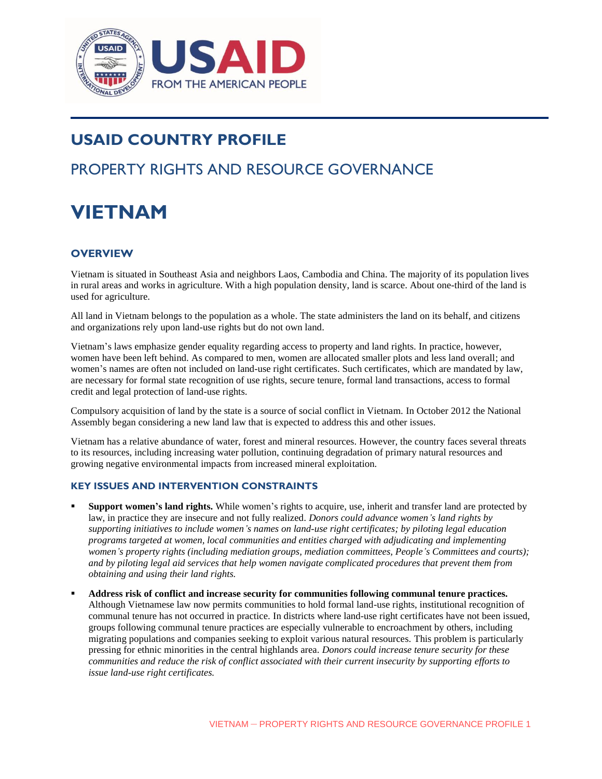

# **USAID COUNTRY PROFILE**

# PROPERTY RIGHTS AND RESOURCE GOVERNANCE

# **VIETNAM**

# **OVERVIEW**

Vietnam is situated in Southeast Asia and neighbors Laos, Cambodia and China. The majority of its population lives in rural areas and works in agriculture. With a high population density, land is scarce. About one-third of the land is used for agriculture.

All land in Vietnam belongs to the population as a whole. The state administers the land on its behalf, and citizens and organizations rely upon land-use rights but do not own land.

Vietnam's laws emphasize gender equality regarding access to property and land rights. In practice, however, women have been left behind. As compared to men, women are allocated smaller plots and less land overall; and women's names are often not included on land-use right certificates. Such certificates, which are mandated by law, are necessary for formal state recognition of use rights, secure tenure, formal land transactions, access to formal credit and legal protection of land-use rights.

Compulsory acquisition of land by the state is a source of social conflict in Vietnam. In October 2012 the National Assembly began considering a new land law that is expected to address this and other issues.

Vietnam has a relative abundance of water, forest and mineral resources. However, the country faces several threats to its resources, including increasing water pollution, continuing degradation of primary natural resources and growing negative environmental impacts from increased mineral exploitation.

#### **KEY ISSUES AND INTERVENTION CONSTRAINTS**

- **Support women's land rights.** While women's rights to acquire, use, inherit and transfer land are protected by law, in practice they are insecure and not fully realized*. Donors could advance women's land rights by supporting initiatives to include women's names on land-use right certificates; by piloting legal education programs targeted at women, local communities and entities charged with adjudicating and implementing women's property rights (including mediation groups, mediation committees, People's Committees and courts); and by piloting legal aid services that help women navigate complicated procedures that prevent them from obtaining and using their land rights.*
- **Address risk of conflict and increase security for communities following communal tenure practices.** Although Vietnamese law now permits communities to hold formal land-use rights, institutional recognition of communal tenure has not occurred in practice. In districts where land-use right certificates have not been issued, groups following communal tenure practices are especially vulnerable to encroachment by others, including migrating populations and companies seeking to exploit various natural resources. This problem is particularly pressing for ethnic minorities in the central highlands area. *Donors could increase tenure security for these communities and reduce the risk of conflict associated with their current insecurity by supporting efforts to issue land-use right certificates.*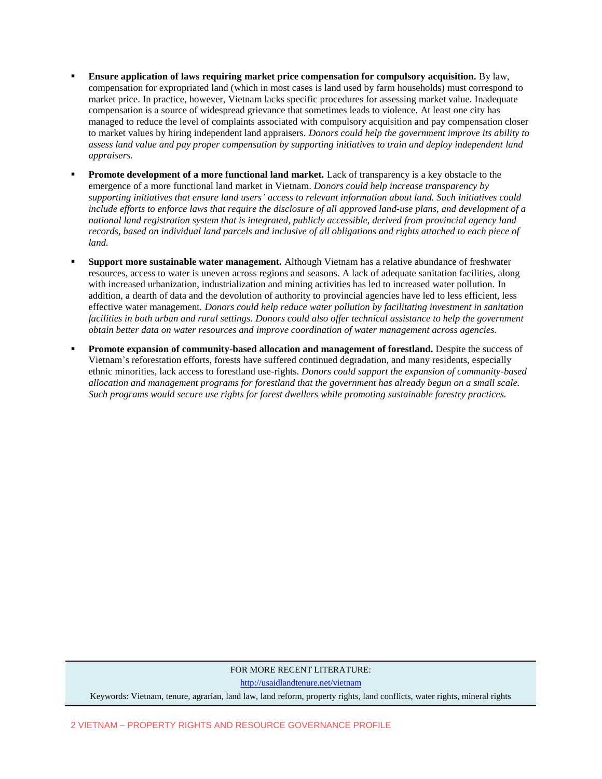- **Ensure application of laws requiring market price compensation for compulsory acquisition.** By law, compensation for expropriated land (which in most cases is land used by farm households) must correspond to market price. In practice, however, Vietnam lacks specific procedures for assessing market value. Inadequate compensation is a source of widespread grievance that sometimes leads to violence. At least one city has managed to reduce the level of complaints associated with compulsory acquisition and pay compensation closer to market values by hiring independent land appraisers. *Donors could help the government improve its ability to assess land value and pay proper compensation by supporting initiatives to train and deploy independent land appraisers.*
- **Promote development of a more functional land market.** Lack of transparency is a key obstacle to the emergence of a more functional land market in Vietnam. *Donors could help increase transparency by supporting initiatives that ensure land users' access to relevant information about land. Such initiatives could include efforts to enforce laws that require the disclosure of all approved land-use plans, and development of a national land registration system that is integrated, publicly accessible, derived from provincial agency land records, based on individual land parcels and inclusive of all obligations and rights attached to each piece of land.*
- **Support more sustainable water management.** Although Vietnam has a relative abundance of freshwater resources, access to water is uneven across regions and seasons. A lack of adequate sanitation facilities, along with increased urbanization, industrialization and mining activities has led to increased water pollution. In addition, a dearth of data and the devolution of authority to provincial agencies have led to less efficient, less effective water management. *Donors could help reduce water pollution by facilitating investment in sanitation facilities in both urban and rural settings. Donors could also offer technical assistance to help the government obtain better data on water resources and improve coordination of water management across agencies.*
- **Promote expansion of community-based allocation and management of forestland.** Despite the success of Vietnam's reforestation efforts, forests have suffered continued degradation, and many residents, especially ethnic minorities, lack access to forestland use-rights. *Donors could support the expansion of community-based allocation and management programs for forestland that the government has already begun on a small scale. Such programs would secure use rights for forest dwellers while promoting sustainable forestry practices.*

#### FOR MORE RECENT LITERATURE:

<http://usaidlandtenure.net/vietnam>

Keywords: Vietnam, tenure, agrarian, land law, land reform, property rights, land conflicts, water rights, mineral rights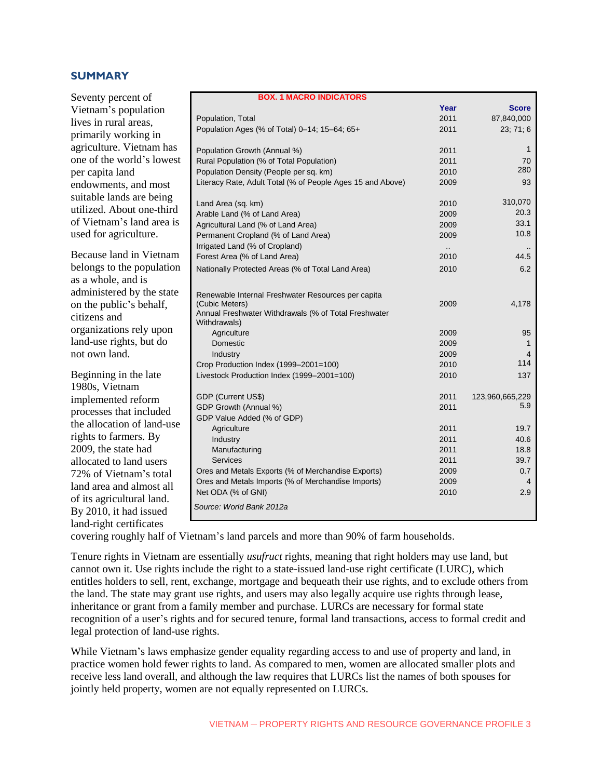# **SUMMARY**

Seventy percent of Vietnam's population lives in rural areas, primarily working in agriculture. Vietnam has one of the world's lowest per capita land endowments, and most suitable lands are being utilized. About one-third of Vietnam's land area is used for agriculture.

Because land in Vietnam belongs to the population as a whole, and is administered by the state on the public's behalf, citizens and organizations rely upon land-use rights, but do not own land.

Beginning in the late 1980s, Vietnam implemented reform processes that included the allocation of land-use rights to farmers. By 2009, the state had allocated to land users 72% of Vietnam's total land area and almost all of its agricultural land. By 2010, it had issued land-right certificates

| <b>BOX. 1 MACRO INDICATORS</b>                                       |                      |                 |
|----------------------------------------------------------------------|----------------------|-----------------|
|                                                                      | Year                 | <b>Score</b>    |
| Population, Total                                                    | 2011                 | 87,840,000      |
| Population Ages (% of Total) 0-14; 15-64; 65+                        | 2011                 | 23; 71; 6       |
| Population Growth (Annual %)                                         | 2011                 | $\mathbf{1}$    |
| Rural Population (% of Total Population)                             | 2011                 | 70              |
| Population Density (People per sq. km)                               | 2010                 | 280             |
| Literacy Rate, Adult Total (% of People Ages 15 and Above)           | 2009                 | 93              |
| Land Area (sq. km)                                                   | 2010                 | 310,070         |
| Arable Land (% of Land Area)                                         | 2009                 | 20.3            |
| Agricultural Land (% of Land Area)                                   | 2009                 | 33.1            |
| Permanent Cropland (% of Land Area)                                  | 2009                 | 10.8            |
| Irrigated Land (% of Cropland)                                       | $\ddot{\phantom{a}}$ |                 |
| Forest Area (% of Land Area)                                         | 2010                 | 44.5            |
| Nationally Protected Areas (% of Total Land Area)                    | 2010                 | 6.2             |
| Renewable Internal Freshwater Resources per capita                   |                      |                 |
| (Cubic Meters)                                                       | 2009                 | 4,178           |
| Annual Freshwater Withdrawals (% of Total Freshwater<br>Withdrawals) |                      |                 |
| Agriculture                                                          | 2009                 | 95              |
| Domestic                                                             | 2009                 | $\mathbf{1}$    |
| Industry                                                             | 2009                 | 4               |
| Crop Production Index (1999-2001=100)                                | 2010                 | 114             |
| Livestock Production Index (1999-2001=100)                           | 2010                 | 137             |
| GDP (Current US\$)                                                   | 2011                 | 123,960,665,229 |
| GDP Growth (Annual %)                                                | 2011                 | 5.9             |
| GDP Value Added (% of GDP)                                           |                      |                 |
| Agriculture                                                          | 2011                 | 19.7            |
| Industry                                                             | 2011                 | 40.6            |
| Manufacturing                                                        | 2011                 | 18.8            |
| <b>Services</b>                                                      | 2011                 | 39.7            |
| Ores and Metals Exports (% of Merchandise Exports)                   | 2009                 | 0.7             |
| Ores and Metals Imports (% of Merchandise Imports)                   | 2009                 | 4               |
| Net ODA (% of GNI)                                                   | 2010                 | 2.9             |
| Source: World Bank 2012a                                             |                      |                 |

covering roughly half of Vietnam's land parcels and more than 90% of farm households.

Tenure rights in Vietnam are essentially *usufruct* rights, meaning that right holders may use land, but cannot own it. Use rights include the right to a state-issued land-use right certificate (LURC), which entitles holders to sell, rent, exchange, mortgage and bequeath their use rights, and to exclude others from the land. The state may grant use rights, and users may also legally acquire use rights through lease, inheritance or grant from a family member and purchase. LURCs are necessary for formal state recognition of a user's rights and for secured tenure, formal land transactions, access to formal credit and legal protection of land-use rights.

While Vietnam's laws emphasize gender equality regarding access to and use of property and land, in practice women hold fewer rights to land. As compared to men, women are allocated smaller plots and receive less land overall, and although the law requires that LURCs list the names of both spouses for jointly held property, women are not equally represented on LURCs.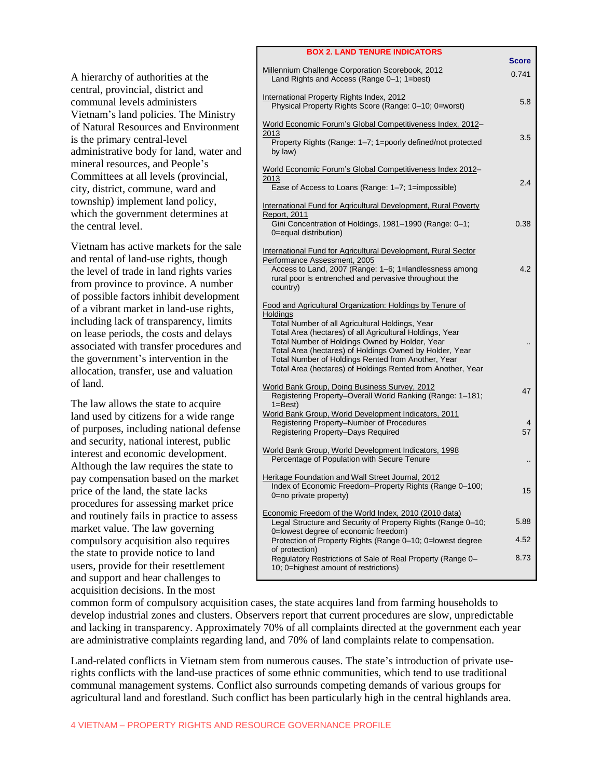A hierarchy of authorities at the central, provincial, district and communal levels administers Vietnam's land policies. The Ministry of Natural Resources and Environment is the primary central-level administrative body for land, water and mineral resources, and People's Committees at all levels (provincial, city, district, commune, ward and township) implement land policy, which the government determines at the central level.

Vietnam has active markets for the sale and rental of land-use rights, though the level of trade in land rights varies from province to province. A number of possible factors inhibit development of a vibrant market in land-use rights, including lack of transparency, limits on lease periods, the costs and delays associated with transfer procedures and the government's intervention in the allocation, transfer, use and valuation of land.

The law allows the state to acquire land used by citizens for a wide range of purposes, including national defense and security, national interest, public interest and economic development. Although the law requires the state to pay compensation based on the market price of the land, the state lacks procedures for assessing market price and routinely fails in practice to assess market value. The law governing compulsory acquisition also requires the state to provide notice to land users, provide for their resettlement and support and hear challenges to acquisition decisions. In the most

| <b>BOX 2. LAND TENURE INDICATORS</b>                                                                                                                                                                                                                                                                                                                                                                                   |                       |
|------------------------------------------------------------------------------------------------------------------------------------------------------------------------------------------------------------------------------------------------------------------------------------------------------------------------------------------------------------------------------------------------------------------------|-----------------------|
| Millennium Challenge Corporation Scorebook, 2012<br>Land Rights and Access (Range 0-1; 1=best)                                                                                                                                                                                                                                                                                                                         | <b>Score</b><br>0.741 |
| International Property Rights Index, 2012<br>Physical Property Rights Score (Range: 0-10; 0=worst)                                                                                                                                                                                                                                                                                                                     | 5.8                   |
| World Economic Forum's Global Competitiveness Index, 2012-<br>2013<br>Property Rights (Range: 1-7; 1=poorly defined/not protected<br>by law)                                                                                                                                                                                                                                                                           | 3.5                   |
| World Economic Forum's Global Competitiveness Index 2012-<br>2013<br>Ease of Access to Loans (Range: 1–7; 1=impossible)                                                                                                                                                                                                                                                                                                | 2.4                   |
| International Fund for Agricultural Development, Rural Poverty<br>Report, 2011<br>Gini Concentration of Holdings, 1981-1990 (Range: 0-1;<br>0=equal distribution)                                                                                                                                                                                                                                                      | 0.38                  |
| International Fund for Agricultural Development, Rural Sector<br>Performance Assessment, 2005<br>Access to Land, 2007 (Range: 1-6; 1=landlessness among<br>rural poor is entrenched and pervasive throughout the<br>country)                                                                                                                                                                                           | 4.2                   |
| Food and Agricultural Organization: Holdings by Tenure of<br>Holdings<br>Total Number of all Agricultural Holdings, Year<br>Total Area (hectares) of all Agricultural Holdings, Year<br>Total Number of Holdings Owned by Holder, Year<br>Total Area (hectares) of Holdings Owned by Holder, Year<br>Total Number of Holdings Rented from Another, Year<br>Total Area (hectares) of Holdings Rented from Another, Year |                       |
| World Bank Group, Doing Business Survey, 2012<br>Registering Property-Overall World Ranking (Range: 1-181;<br>$1 = Best$                                                                                                                                                                                                                                                                                               | 47                    |
| World Bank Group, World Development Indicators, 2011<br>Registering Property-Number of Procedures<br>Registering Property-Days Required                                                                                                                                                                                                                                                                                | 4<br>57               |
| World Bank Group, World Development Indicators, 1998<br>Percentage of Population with Secure Tenure                                                                                                                                                                                                                                                                                                                    |                       |
| Heritage Foundation and Wall Street Journal, 2012<br>Index of Economic Freedom-Property Rights (Range 0-100;<br>0=no private property)                                                                                                                                                                                                                                                                                 | 15                    |
| Economic Freedom of the World Index, 2010 (2010 data)<br>Legal Structure and Security of Property Rights (Range 0-10;                                                                                                                                                                                                                                                                                                  | 5.88                  |
| 0=lowest degree of economic freedom)<br>Protection of Property Rights (Range 0-10; 0=lowest degree<br>of protection)                                                                                                                                                                                                                                                                                                   | 4.52                  |
| Regulatory Restrictions of Sale of Real Property (Range 0-<br>10; 0=highest amount of restrictions)                                                                                                                                                                                                                                                                                                                    | 8.73                  |

common form of compulsory acquisition cases, the state acquires land from farming households to develop industrial zones and clusters. Observers report that current procedures are slow, unpredictable and lacking in transparency. Approximately 70% of all complaints directed at the government each year are administrative complaints regarding land, and 70% of land complaints relate to compensation.

Land-related conflicts in Vietnam stem from numerous causes. The state's introduction of private userights conflicts with the land-use practices of some ethnic communities, which tend to use traditional communal management systems. Conflict also surrounds competing demands of various groups for agricultural land and forestland. Such conflict has been particularly high in the central highlands area.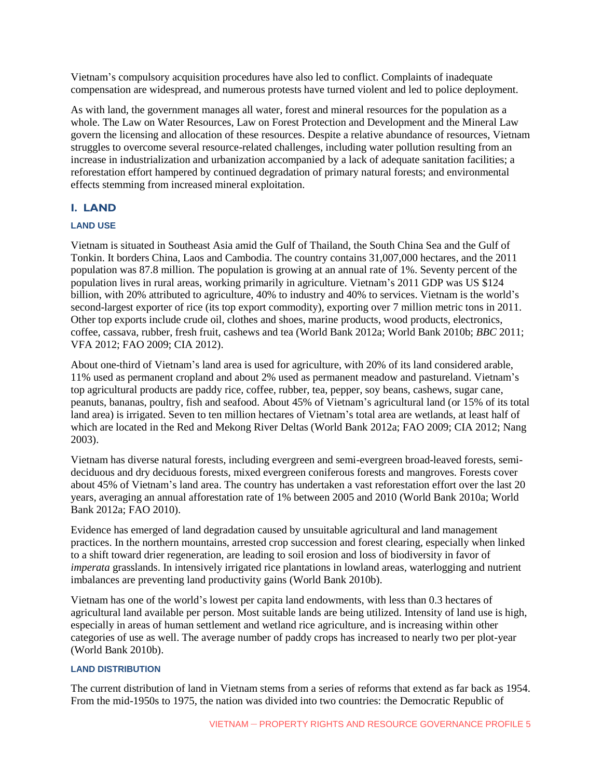Vietnam's compulsory acquisition procedures have also led to conflict. Complaints of inadequate compensation are widespread, and numerous protests have turned violent and led to police deployment.

As with land, the government manages all water, forest and mineral resources for the population as a whole. The Law on Water Resources, Law on Forest Protection and Development and the Mineral Law govern the licensing and allocation of these resources. Despite a relative abundance of resources, Vietnam struggles to overcome several resource-related challenges, including water pollution resulting from an increase in industrialization and urbanization accompanied by a lack of adequate sanitation facilities; a reforestation effort hampered by continued degradation of primary natural forests; and environmental effects stemming from increased mineral exploitation.

# **I. LAND**

# **LAND USE**

Vietnam is situated in Southeast Asia amid the Gulf of Thailand, the South China Sea and the Gulf of Tonkin. It borders China, Laos and Cambodia. The country contains 31,007,000 hectares, and the 2011 population was 87.8 million. The population is growing at an annual rate of 1%. Seventy percent of the population lives in rural areas, working primarily in agriculture. Vietnam's 2011 GDP was US \$124 billion, with 20% attributed to agriculture, 40% to industry and 40% to services. Vietnam is the world's second-largest exporter of rice (its top export commodity), exporting over 7 million metric tons in 2011. Other top exports include crude oil, clothes and shoes, marine products, wood products, electronics, coffee, cassava, rubber, fresh fruit, cashews and tea (World Bank 2012a; World Bank 2010b; *BBC* 2011; VFA 2012; FAO 2009; CIA 2012).

About one-third of Vietnam's land area is used for agriculture, with 20% of its land considered arable, 11% used as permanent cropland and about 2% used as permanent meadow and pastureland. Vietnam's top agricultural products are paddy rice, coffee, rubber, tea, pepper, soy beans, cashews, sugar cane, peanuts, bananas, poultry, fish and seafood. About 45% of Vietnam's agricultural land (or 15% of its total land area) is irrigated. Seven to ten million hectares of Vietnam's total area are wetlands, at least half of which are located in the Red and Mekong River Deltas (World Bank 2012a; FAO 2009; CIA 2012; Nang 2003).

Vietnam has diverse natural forests, including evergreen and semi-evergreen broad-leaved forests, semideciduous and dry deciduous forests, mixed evergreen coniferous forests and mangroves. Forests cover about 45% of Vietnam's land area. The country has undertaken a vast reforestation effort over the last 20 years, averaging an annual afforestation rate of 1% between 2005 and 2010 (World Bank 2010a; World Bank 2012a; FAO 2010).

Evidence has emerged of land degradation caused by unsuitable agricultural and land management practices. In the northern mountains, arrested crop succession and forest clearing, especially when linked to a shift toward drier regeneration, are leading to soil erosion and loss of biodiversity in favor of *imperata* grasslands. In intensively irrigated rice plantations in lowland areas, waterlogging and nutrient imbalances are preventing land productivity gains (World Bank 2010b).

Vietnam has one of the world's lowest per capita land endowments, with less than 0.3 hectares of agricultural land available per person. Most suitable lands are being utilized. Intensity of land use is high, especially in areas of human settlement and wetland rice agriculture, and is increasing within other categories of use as well. The average number of paddy crops has increased to nearly two per plot-year (World Bank 2010b).

#### **LAND DISTRIBUTION**

The current distribution of land in Vietnam stems from a series of reforms that extend as far back as 1954. From the mid-1950s to 1975, the nation was divided into two countries: the Democratic Republic of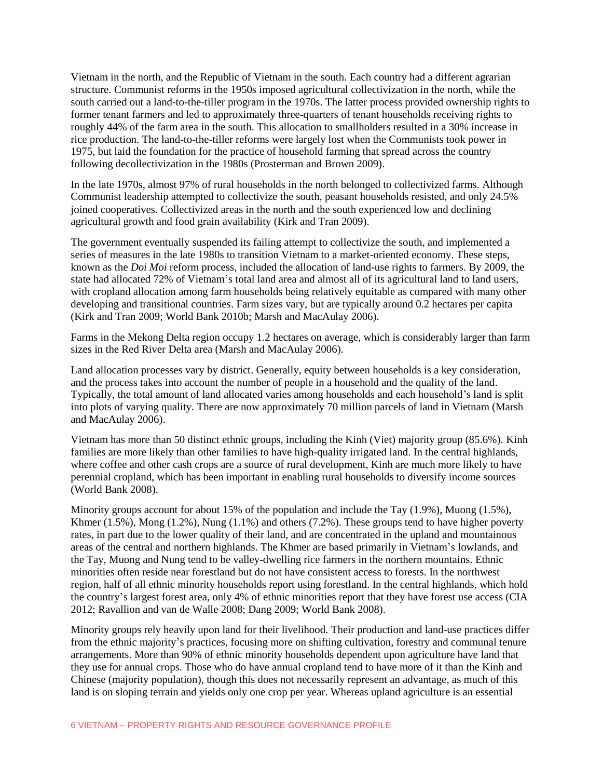Vietnam in the north, and the Republic of Vietnam in the south. Each country had a different agrarian structure. Communist reforms in the 1950s imposed agricultural collectivization in the north, while the south carried out a land-to-the-tiller program in the 1970s. The latter process provided ownership rights to former tenant farmers and led to approximately three-quarters of tenant households receiving rights to roughly 44% of the farm area in the south. This allocation to smallholders resulted in a 30% increase in rice production. The land-to-the-tiller reforms were largely lost when the Communists took power in 1975, but laid the foundation for the practice of household farming that spread across the country following decollectivization in the 1980s (Prosterman and Brown 2009).

In the late 1970s, almost 97% of rural households in the north belonged to collectivized farms. Although Communist leadership attempted to collectivize the south, peasant households resisted, and only 24.5% joined cooperatives. Collectivized areas in the north and the south experienced low and declining agricultural growth and food grain availability (Kirk and Tran 2009).

The government eventually suspended its failing attempt to collectivize the south, and implemented a series of measures in the late 1980s to transition Vietnam to a market-oriented economy. These steps, known as the *Doi Moi* reform process, included the allocation of land-use rights to farmers. By 2009, the state had allocated 72% of Vietnam's total land area and almost all of its agricultural land to land users, with cropland allocation among farm households being relatively equitable as compared with many other developing and transitional countries. Farm sizes vary, but are typically around 0.2 hectares per capita (Kirk and Tran 2009; World Bank 2010b; Marsh and MacAulay 2006).

Farms in the Mekong Delta region occupy 1.2 hectares on average, which is considerably larger than farm sizes in the Red River Delta area (Marsh and MacAulay 2006).

Land allocation processes vary by district. Generally, equity between households is a key consideration, and the process takes into account the number of people in a household and the quality of the land. Typically, the total amount of land allocated varies among households and each household's land is split into plots of varying quality. There are now approximately 70 million parcels of land in Vietnam (Marsh and MacAulay 2006).

Vietnam has more than 50 distinct ethnic groups, including the Kinh (Viet) majority group (85.6%). Kinh families are more likely than other families to have high-quality irrigated land. In the central highlands, where coffee and other cash crops are a source of rural development, Kinh are much more likely to have perennial cropland, which has been important in enabling rural households to diversify income sources (World Bank 2008).

Minority groups account for about 15% of the population and include the Tay  $(1.9\%)$ , Muong  $(1.5\%)$ , Khmer  $(1.5\%)$ , Mong  $(1.2\%)$ , Nung  $(1.1\%)$  and others  $(7.2\%)$ . These groups tend to have higher poverty rates, in part due to the lower quality of their land, and are concentrated in the upland and mountainous areas of the central and northern highlands. The Khmer are based primarily in Vietnam's lowlands, and the Tay, Muong and Nung tend to be valley-dwelling rice farmers in the northern mountains. Ethnic minorities often reside near forestland but do not have consistent access to forests. In the northwest region, half of all ethnic minority households report using forestland. In the central highlands, which hold the country's largest forest area, only 4% of ethnic minorities report that they have forest use access (CIA 2012; Ravallion and van de Walle 2008; Dang 2009; World Bank 2008).

Minority groups rely heavily upon land for their livelihood. Their production and land-use practices differ from the ethnic majority's practices, focusing more on shifting cultivation, forestry and communal tenure arrangements. More than 90% of ethnic minority households dependent upon agriculture have land that they use for annual crops. Those who do have annual cropland tend to have more of it than the Kinh and Chinese (majority population), though this does not necessarily represent an advantage, as much of this land is on sloping terrain and yields only one crop per year. Whereas upland agriculture is an essential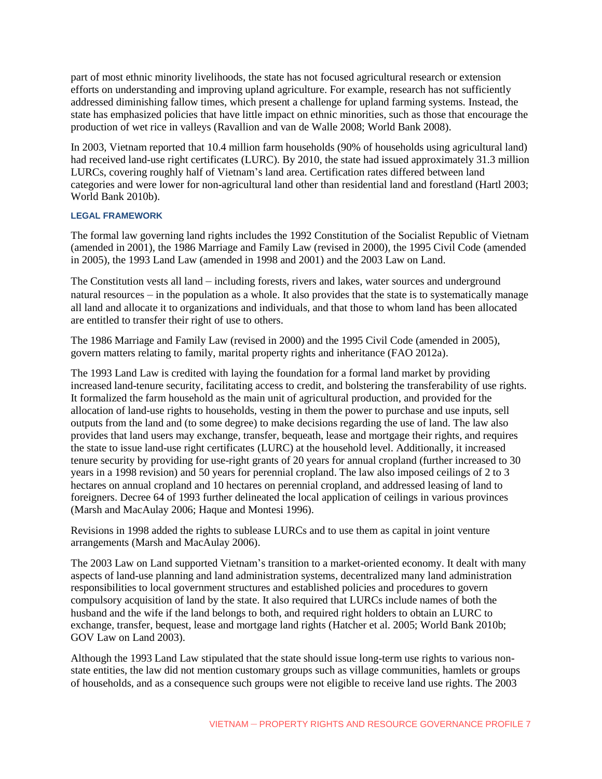part of most ethnic minority livelihoods, the state has not focused agricultural research or extension efforts on understanding and improving upland agriculture. For example, research has not sufficiently addressed diminishing fallow times, which present a challenge for upland farming systems. Instead, the state has emphasized policies that have little impact on ethnic minorities, such as those that encourage the production of wet rice in valleys (Ravallion and van de Walle 2008; World Bank 2008).

In 2003, Vietnam reported that 10.4 million farm households (90% of households using agricultural land) had received land-use right certificates (LURC). By 2010, the state had issued approximately 31.3 million LURCs, covering roughly half of Vietnam's land area. Certification rates differed between land categories and were lower for non-agricultural land other than residential land and forestland (Hartl 2003; World Bank 2010b).

#### **LEGAL FRAMEWORK**

The formal law governing land rights includes the 1992 Constitution of the Socialist Republic of Vietnam (amended in 2001), the 1986 Marriage and Family Law (revised in 2000), the 1995 Civil Code (amended in 2005), the 1993 Land Law (amended in 1998 and 2001) and the 2003 Law on Land.

The Constitution vests all land – including forests, rivers and lakes, water sources and underground natural resources – in the population as a whole. It also provides that the state is to systematically manage all land and allocate it to organizations and individuals, and that those to whom land has been allocated are entitled to transfer their right of use to others.

The 1986 Marriage and Family Law (revised in 2000) and the 1995 Civil Code (amended in 2005), govern matters relating to family, marital property rights and inheritance (FAO 2012a).

The 1993 Land Law is credited with laying the foundation for a formal land market by providing increased land-tenure security, facilitating access to credit, and bolstering the transferability of use rights. It formalized the farm household as the main unit of agricultural production, and provided for the allocation of land-use rights to households, vesting in them the power to purchase and use inputs, sell outputs from the land and (to some degree) to make decisions regarding the use of land. The law also provides that land users may exchange, transfer, bequeath, lease and mortgage their rights, and requires the state to issue land-use right certificates (LURC) at the household level. Additionally, it increased tenure security by providing for use-right grants of 20 years for annual cropland (further increased to 30 years in a 1998 revision) and 50 years for perennial cropland. The law also imposed ceilings of 2 to 3 hectares on annual cropland and 10 hectares on perennial cropland, and addressed leasing of land to foreigners. Decree 64 of 1993 further delineated the local application of ceilings in various provinces (Marsh and MacAulay 2006; Haque and Montesi 1996).

Revisions in 1998 added the rights to sublease LURCs and to use them as capital in joint venture arrangements (Marsh and MacAulay 2006).

The 2003 Law on Land supported Vietnam's transition to a market-oriented economy. It dealt with many aspects of land-use planning and land administration systems, decentralized many land administration responsibilities to local government structures and established policies and procedures to govern compulsory acquisition of land by the state. It also required that LURCs include names of both the husband and the wife if the land belongs to both, and required right holders to obtain an LURC to exchange, transfer, bequest, lease and mortgage land rights (Hatcher et al. 2005; World Bank 2010b; GOV Law on Land 2003).

Although the 1993 Land Law stipulated that the state should issue long-term use rights to various nonstate entities, the law did not mention customary groups such as village communities, hamlets or groups of households, and as a consequence such groups were not eligible to receive land use rights. The 2003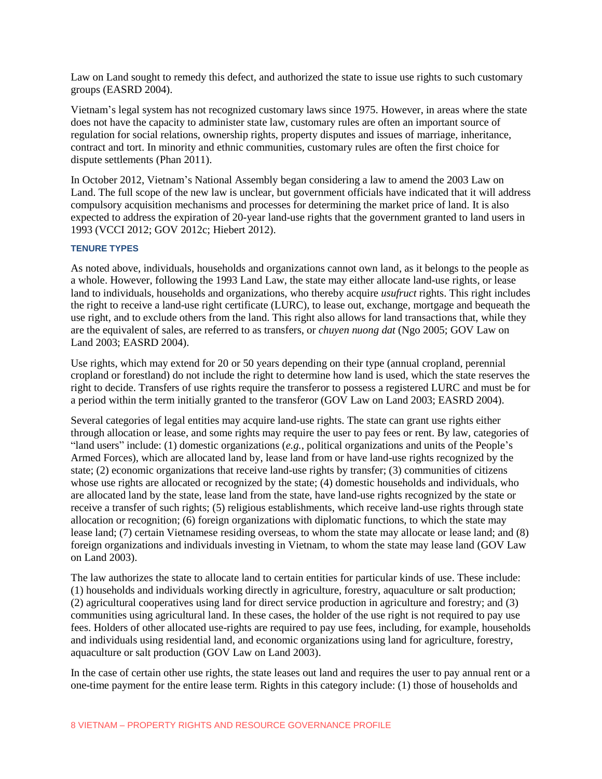Law on Land sought to remedy this defect, and authorized the state to issue use rights to such customary groups (EASRD 2004).

Vietnam's legal system has not recognized customary laws since 1975. However, in areas where the state does not have the capacity to administer state law, customary rules are often an important source of regulation for social relations, ownership rights, property disputes and issues of marriage, inheritance, contract and tort. In minority and ethnic communities, customary rules are often the first choice for dispute settlements (Phan 2011).

In October 2012, Vietnam's National Assembly began considering a law to amend the 2003 Law on Land. The full scope of the new law is unclear, but government officials have indicated that it will address compulsory acquisition mechanisms and processes for determining the market price of land. It is also expected to address the expiration of 20-year land-use rights that the government granted to land users in 1993 (VCCI 2012; GOV 2012c; Hiebert 2012).

# **TENURE TYPES**

As noted above, individuals, households and organizations cannot own land, as it belongs to the people as a whole. However, following the 1993 Land Law, the state may either allocate land-use rights, or lease land to individuals, households and organizations, who thereby acquire *usufruct* rights. This right includes the right to receive a land-use right certificate (LURC), to lease out, exchange, mortgage and bequeath the use right, and to exclude others from the land. This right also allows for land transactions that, while they are the equivalent of sales, are referred to as transfers, or *chuyen nuong dat* (Ngo 2005; GOV Law on Land 2003; EASRD 2004).

Use rights, which may extend for 20 or 50 years depending on their type (annual cropland, perennial cropland or forestland) do not include the right to determine how land is used, which the state reserves the right to decide. Transfers of use rights require the transferor to possess a registered LURC and must be for a period within the term initially granted to the transferor (GOV Law on Land 2003; EASRD 2004).

Several categories of legal entities may acquire land-use rights. The state can grant use rights either through allocation or lease, and some rights may require the user to pay fees or rent. By law, categories of "land users" include: (1) domestic organizations (*e.g.,* political organizations and units of the People's Armed Forces), which are allocated land by, lease land from or have land-use rights recognized by the state; (2) economic organizations that receive land-use rights by transfer; (3) communities of citizens whose use rights are allocated or recognized by the state; (4) domestic households and individuals, who are allocated land by the state, lease land from the state, have land-use rights recognized by the state or receive a transfer of such rights; (5) religious establishments, which receive land-use rights through state allocation or recognition; (6) foreign organizations with diplomatic functions, to which the state may lease land; (7) certain Vietnamese residing overseas, to whom the state may allocate or lease land; and (8) foreign organizations and individuals investing in Vietnam, to whom the state may lease land (GOV Law on Land 2003).

The law authorizes the state to allocate land to certain entities for particular kinds of use. These include: (1) households and individuals working directly in agriculture, forestry, aquaculture or salt production; (2) agricultural cooperatives using land for direct service production in agriculture and forestry; and (3) communities using agricultural land. In these cases, the holder of the use right is not required to pay use fees. Holders of other allocated use-rights are required to pay use fees, including, for example, households and individuals using residential land, and economic organizations using land for agriculture, forestry, aquaculture or salt production (GOV Law on Land 2003).

In the case of certain other use rights, the state leases out land and requires the user to pay annual rent or a one-time payment for the entire lease term. Rights in this category include: (1) those of households and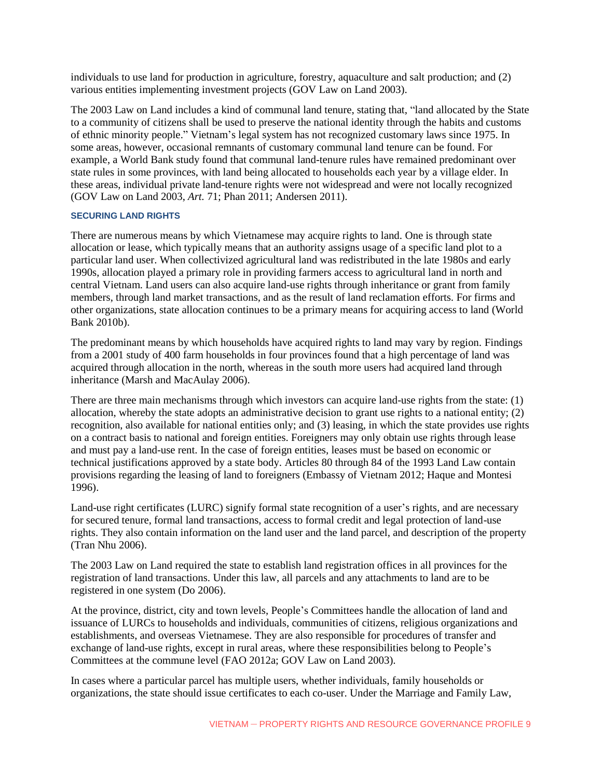individuals to use land for production in agriculture, forestry, aquaculture and salt production; and (2) various entities implementing investment projects (GOV Law on Land 2003).

The 2003 Law on Land includes a kind of communal land tenure, stating that, "land allocated by the State to a community of citizens shall be used to preserve the national identity through the habits and customs of ethnic minority people." Vietnam's legal system has not recognized customary laws since 1975. In some areas, however, occasional remnants of customary communal land tenure can be found. For example, a World Bank study found that communal land-tenure rules have remained predominant over state rules in some provinces, with land being allocated to households each year by a village elder. In these areas, individual private land-tenure rights were not widespread and were not locally recognized (GOV Law on Land 2003, *Art.* 71; Phan 2011; Andersen 2011).

#### **SECURING LAND RIGHTS**

There are numerous means by which Vietnamese may acquire rights to land. One is through state allocation or lease, which typically means that an authority assigns usage of a specific land plot to a particular land user. When collectivized agricultural land was redistributed in the late 1980s and early 1990s, allocation played a primary role in providing farmers access to agricultural land in north and central Vietnam. Land users can also acquire land-use rights through inheritance or grant from family members, through land market transactions, and as the result of land reclamation efforts. For firms and other organizations, state allocation continues to be a primary means for acquiring access to land (World Bank 2010b).

The predominant means by which households have acquired rights to land may vary by region. Findings from a 2001 study of 400 farm households in four provinces found that a high percentage of land was acquired through allocation in the north, whereas in the south more users had acquired land through inheritance (Marsh and MacAulay 2006).

There are three main mechanisms through which investors can acquire land-use rights from the state: (1) allocation, whereby the state adopts an administrative decision to grant use rights to a national entity; (2) recognition, also available for national entities only; and (3) leasing, in which the state provides use rights on a contract basis to national and foreign entities. Foreigners may only obtain use rights through lease and must pay a land-use rent. In the case of foreign entities, leases must be based on economic or technical justifications approved by a state body. Articles 80 through 84 of the 1993 Land Law contain provisions regarding the leasing of land to foreigners (Embassy of Vietnam 2012; Haque and Montesi 1996).

Land-use right certificates (LURC) signify formal state recognition of a user's rights, and are necessary for secured tenure, formal land transactions, access to formal credit and legal protection of land-use rights. They also contain information on the land user and the land parcel, and description of the property (Tran Nhu 2006).

The 2003 Law on Land required the state to establish land registration offices in all provinces for the registration of land transactions. Under this law, all parcels and any attachments to land are to be registered in one system (Do 2006).

At the province, district, city and town levels, People's Committees handle the allocation of land and issuance of LURCs to households and individuals, communities of citizens, religious organizations and establishments, and overseas Vietnamese. They are also responsible for procedures of transfer and exchange of land-use rights, except in rural areas, where these responsibilities belong to People's Committees at the commune level (FAO 2012a; GOV Law on Land 2003).

In cases where a particular parcel has multiple users, whether individuals, family households or organizations, the state should issue certificates to each co-user. Under the Marriage and Family Law,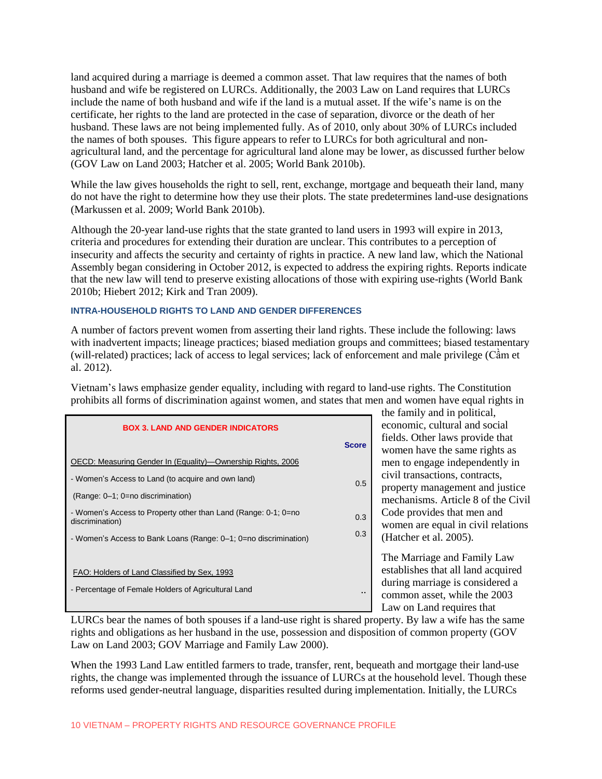land acquired during a marriage is deemed a common asset. That law requires that the names of both husband and wife be registered on LURCs. Additionally, the 2003 Law on Land requires that LURCs include the name of both husband and wife if the land is a mutual asset. If the wife's name is on the certificate, her rights to the land are protected in the case of separation, divorce or the death of her husband. These laws are not being implemented fully. As of 2010, only about 30% of LURCs included the names of both spouses. This figure appears to refer to LURCs for both agricultural and nonagricultural land, and the percentage for agricultural land alone may be lower, as discussed further below (GOV Law on Land 2003; Hatcher et al. 2005; World Bank 2010b).

While the law gives households the right to sell, rent, exchange, mortgage and bequeath their land, many do not have the right to determine how they use their plots. The state predetermines land-use designations (Markussen et al. 2009; World Bank 2010b).

Although the 20-year land-use rights that the state granted to land users in 1993 will expire in 2013, criteria and procedures for extending their duration are unclear. This contributes to a perception of insecurity and affects the security and certainty of rights in practice. A new land law, which the National Assembly began considering in October 2012, is expected to address the expiring rights. Reports indicate that the new law will tend to preserve existing allocations of those with expiring use-rights (World Bank 2010b; Hiebert 2012; Kirk and Tran 2009).

# **INTRA-HOUSEHOLD RIGHTS TO LAND AND GENDER DIFFERENCES**

A number of factors prevent women from asserting their land rights. These include the following: laws with inadvertent impacts; lineage practices; biased mediation groups and committees; biased testamentary (will-related) practices; lack of access to legal services; lack of enforcement and male privilege (Cầm et al. 2012).

Vietnam's laws emphasize gender equality, including with regard to land-use rights. The Constitution prohibits all forms of discrimination against women, and states that men and women have equal rights in

| <b>BOX 3. LAND AND GENDER INDICATORS</b>                                          |              |  |
|-----------------------------------------------------------------------------------|--------------|--|
|                                                                                   | <b>Score</b> |  |
| OECD: Measuring Gender In (Equality)—Ownership Rights, 2006                       |              |  |
| - Women's Access to Land (to acquire and own land)                                | 0.5          |  |
| (Range: 0–1; 0=no discrimination)                                                 |              |  |
| - Women's Access to Property other than Land (Range: 0-1; 0=no<br>discrimination) | 0.3          |  |
| - Women's Access to Bank Loans (Range: 0–1; 0=no discrimination)                  | 0.3          |  |
|                                                                                   |              |  |
| FAO: Holders of Land Classified by Sex, 1993                                      |              |  |
| - Percentage of Female Holders of Agricultural Land                               |              |  |
|                                                                                   |              |  |

the family and in political, economic, cultural and social fields. Other laws provide that women have the same rights as men to engage independently in civil transactions, contracts, property management and justice mechanisms. Article 8 of the Civil Code provides that men and women are equal in civil relations (Hatcher et al. 2005).

The Marriage and Family Law establishes that all land acquired during marriage is considered a common asset, while the 2003 **Law on Land requires that** 

LURCs bear the names of both spouses if a land-use right is shared property. By law a wife has the same rights and obligations as her husband in the use, possession and disposition of common property (GOV Law on Land 2003; GOV Marriage and Family Law 2000).

When the 1993 Land Law entitled farmers to trade, transfer, rent, bequeath and mortgage their land-use rights, the change was implemented through the issuance of LURCs at the household level. Though these reforms used gender-neutral language, disparities resulted during implementation. Initially, the LURCs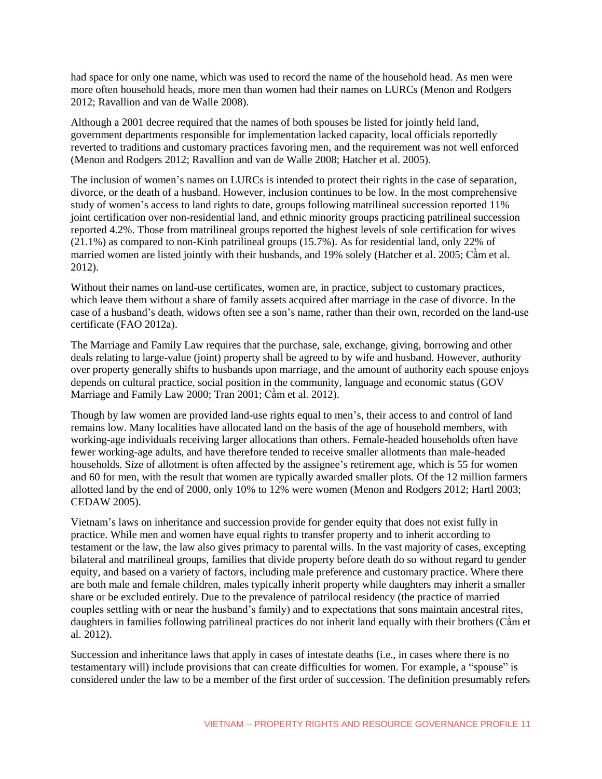had space for only one name, which was used to record the name of the household head. As men were more often household heads, more men than women had their names on LURCs (Menon and Rodgers 2012; Ravallion and van de Walle 2008).

Although a 2001 decree required that the names of both spouses be listed for jointly held land, government departments responsible for implementation lacked capacity, local officials reportedly reverted to traditions and customary practices favoring men, and the requirement was not well enforced (Menon and Rodgers 2012; Ravallion and van de Walle 2008; Hatcher et al. 2005).

The inclusion of women's names on LURCs is intended to protect their rights in the case of separation, divorce, or the death of a husband. However, inclusion continues to be low. In the most comprehensive study of women's access to land rights to date, groups following matrilineal succession reported 11% joint certification over non-residential land, and ethnic minority groups practicing patrilineal succession reported 4.2%. Those from matrilineal groups reported the highest levels of sole certification for wives (21.1%) as compared to non-Kinh patrilineal groups (15.7%). As for residential land, only 22% of married women are listed jointly with their husbands, and 19% solely (Hatcher et al. 2005; Cầm et al. 2012).

Without their names on land-use certificates, women are, in practice, subject to customary practices, which leave them without a share of family assets acquired after marriage in the case of divorce. In the case of a husband's death, widows often see a son's name, rather than their own, recorded on the land-use certificate (FAO 2012a).

The Marriage and Family Law requires that the purchase, sale, exchange, giving, borrowing and other deals relating to large-value (joint) property shall be agreed to by wife and husband. However, authority over property generally shifts to husbands upon marriage, and the amount of authority each spouse enjoys depends on cultural practice, social position in the community, language and economic status (GOV Marriage and Family Law 2000; Tran 2001; Cầm et al. 2012).

Though by law women are provided land-use rights equal to men's, their access to and control of land remains low. Many localities have allocated land on the basis of the age of household members, with working-age individuals receiving larger allocations than others. Female-headed households often have fewer working-age adults, and have therefore tended to receive smaller allotments than male-headed households. Size of allotment is often affected by the assignee's retirement age, which is 55 for women and 60 for men, with the result that women are typically awarded smaller plots. Of the 12 million farmers allotted land by the end of 2000, only 10% to 12% were women (Menon and Rodgers 2012; Hartl 2003; CEDAW 2005).

Vietnam's laws on inheritance and succession provide for gender equity that does not exist fully in practice. While men and women have equal rights to transfer property and to inherit according to testament or the law, the law also gives primacy to parental wills. In the vast majority of cases, excepting bilateral and matrilineal groups, families that divide property before death do so without regard to gender equity, and based on a variety of factors, including male preference and customary practice. Where there are both male and female children, males typically inherit property while daughters may inherit a smaller share or be excluded entirely. Due to the prevalence of patrilocal residency (the practice of married couples settling with or near the husband's family) and to expectations that sons maintain ancestral rites, daughters in families following patrilineal practices do not inherit land equally with their brothers (Cầm et al. 2012).

Succession and inheritance laws that apply in cases of intestate deaths (i.e., in cases where there is no testamentary will) include provisions that can create difficulties for women. For example, a "spouse" is considered under the law to be a member of the first order of succession. The definition presumably refers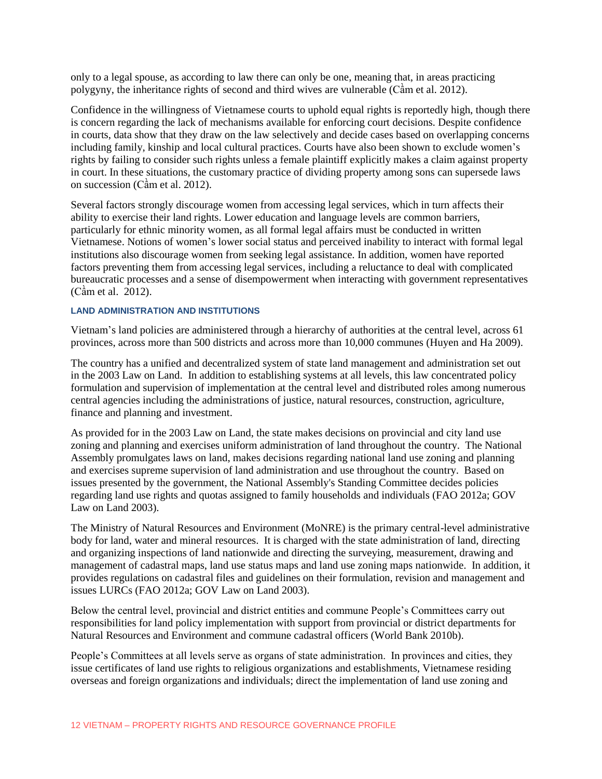only to a legal spouse, as according to law there can only be one, meaning that, in areas practicing polygyny, the inheritance rights of second and third wives are vulnerable (Cầm et al. 2012).

Confidence in the willingness of Vietnamese courts to uphold equal rights is reportedly high, though there is concern regarding the lack of mechanisms available for enforcing court decisions. Despite confidence in courts, data show that they draw on the law selectively and decide cases based on overlapping concerns including family, kinship and local cultural practices. Courts have also been shown to exclude women's rights by failing to consider such rights unless a female plaintiff explicitly makes a claim against property in court. In these situations, the customary practice of dividing property among sons can supersede laws on succession (Cầm et al. 2012).

Several factors strongly discourage women from accessing legal services, which in turn affects their ability to exercise their land rights. Lower education and language levels are common barriers, particularly for ethnic minority women, as all formal legal affairs must be conducted in written Vietnamese. Notions of women's lower social status and perceived inability to interact with formal legal institutions also discourage women from seeking legal assistance. In addition, women have reported factors preventing them from accessing legal services, including a reluctance to deal with complicated bureaucratic processes and a sense of disempowerment when interacting with government representatives (Cầm et al. 2012).

# **LAND ADMINISTRATION AND INSTITUTIONS**

Vietnam's land policies are administered through a hierarchy of authorities at the central level, across 61 provinces, across more than 500 districts and across more than 10,000 communes (Huyen and Ha 2009).

The country has a unified and decentralized system of state land management and administration set out in the 2003 Law on Land. In addition to establishing systems at all levels, this law concentrated policy formulation and supervision of implementation at the central level and distributed roles among numerous central agencies including the administrations of justice, natural resources, construction, agriculture, finance and planning and investment.

As provided for in the 2003 Law on Land, the state makes decisions on provincial and city land use zoning and planning and exercises uniform administration of land throughout the country. The National Assembly promulgates laws on land, makes decisions regarding national land use zoning and planning and exercises supreme supervision of land administration and use throughout the country. Based on issues presented by the government, the National Assembly's Standing Committee decides policies regarding land use rights and quotas assigned to family households and individuals (FAO 2012a; GOV Law on Land 2003).

The Ministry of Natural Resources and Environment (MoNRE) is the primary central-level administrative body for land, water and mineral resources. It is charged with the state administration of land, directing and organizing inspections of land nationwide and directing the surveying, measurement, drawing and management of cadastral maps, land use status maps and land use zoning maps nationwide. In addition, it provides regulations on cadastral files and guidelines on their formulation, revision and management and issues LURCs (FAO 2012a; GOV Law on Land 2003).

Below the central level, provincial and district entities and commune People's Committees carry out responsibilities for land policy implementation with support from provincial or district departments for Natural Resources and Environment and commune cadastral officers (World Bank 2010b).

People's Committees at all levels serve as organs of state administration. In provinces and cities, they issue certificates of land use rights to religious organizations and establishments, Vietnamese residing overseas and foreign organizations and individuals; direct the implementation of land use zoning and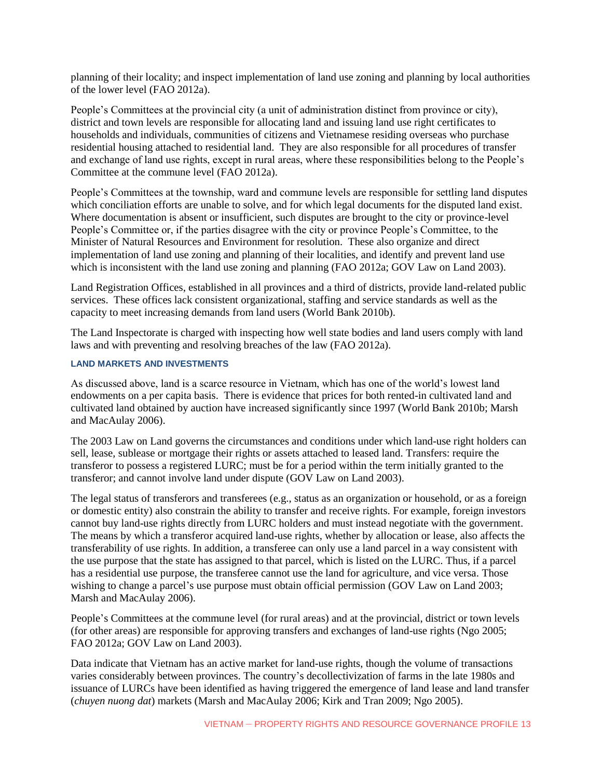planning of their locality; and inspect implementation of land use zoning and planning by local authorities of the lower level (FAO 2012a).

People's Committees at the provincial city (a unit of administration distinct from province or city), district and town levels are responsible for allocating land and issuing land use right certificates to households and individuals, communities of citizens and Vietnamese residing overseas who purchase residential housing attached to residential land. They are also responsible for all procedures of transfer and exchange of land use rights, except in rural areas, where these responsibilities belong to the People's Committee at the commune level (FAO 2012a).

People's Committees at the township, ward and commune levels are responsible for settling land disputes which conciliation efforts are unable to solve, and for which legal documents for the disputed land exist. Where documentation is absent or insufficient, such disputes are brought to the city or province-level People's Committee or, if the parties disagree with the city or province People's Committee, to the Minister of Natural Resources and Environment for resolution. These also organize and direct implementation of land use zoning and planning of their localities, and identify and prevent land use which is inconsistent with the land use zoning and planning (FAO 2012a; GOV Law on Land 2003).

Land Registration Offices, established in all provinces and a third of districts, provide land-related public services. These offices lack consistent organizational, staffing and service standards as well as the capacity to meet increasing demands from land users (World Bank 2010b).

The Land Inspectorate is charged with inspecting how well state bodies and land users comply with land laws and with preventing and resolving breaches of the law (FAO 2012a).

# **LAND MARKETS AND INVESTMENTS**

As discussed above, land is a scarce resource in Vietnam, which has one of the world's lowest land endowments on a per capita basis. There is evidence that prices for both rented-in cultivated land and cultivated land obtained by auction have increased significantly since 1997 (World Bank 2010b; Marsh and MacAulay 2006).

The 2003 Law on Land governs the circumstances and conditions under which land-use right holders can sell, lease, sublease or mortgage their rights or assets attached to leased land. Transfers: require the transferor to possess a registered LURC; must be for a period within the term initially granted to the transferor; and cannot involve land under dispute (GOV Law on Land 2003).

The legal status of transferors and transferees (e.g., status as an organization or household, or as a foreign or domestic entity) also constrain the ability to transfer and receive rights. For example, foreign investors cannot buy land-use rights directly from LURC holders and must instead negotiate with the government. The means by which a transferor acquired land-use rights, whether by allocation or lease, also affects the transferability of use rights. In addition, a transferee can only use a land parcel in a way consistent with the use purpose that the state has assigned to that parcel, which is listed on the LURC. Thus, if a parcel has a residential use purpose, the transferee cannot use the land for agriculture, and vice versa. Those wishing to change a parcel's use purpose must obtain official permission (GOV Law on Land 2003; Marsh and MacAulay 2006).

People's Committees at the commune level (for rural areas) and at the provincial, district or town levels (for other areas) are responsible for approving transfers and exchanges of land-use rights (Ngo 2005; FAO 2012a; GOV Law on Land 2003).

Data indicate that Vietnam has an active market for land-use rights, though the volume of transactions varies considerably between provinces. The country's decollectivization of farms in the late 1980s and issuance of LURCs have been identified as having triggered the emergence of land lease and land transfer (*chuyen nuong dat*) markets (Marsh and MacAulay 2006; Kirk and Tran 2009; Ngo 2005).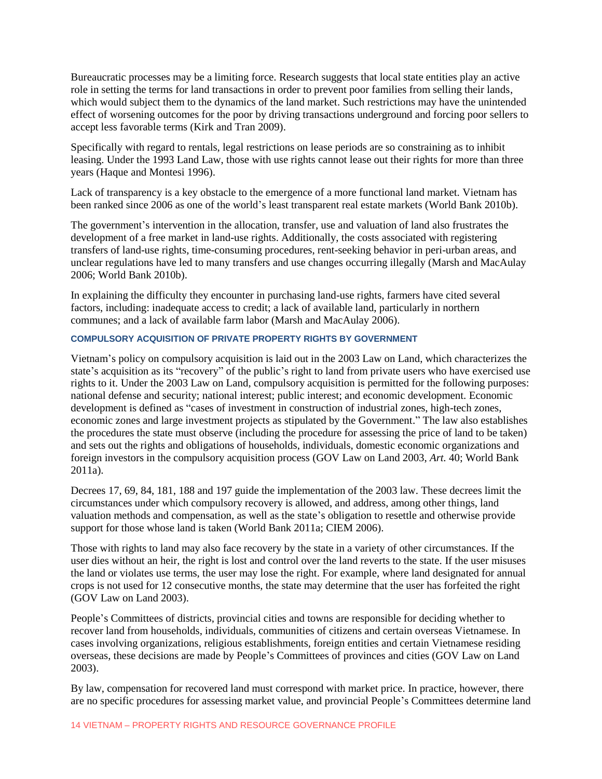Bureaucratic processes may be a limiting force. Research suggests that local state entities play an active role in setting the terms for land transactions in order to prevent poor families from selling their lands, which would subject them to the dynamics of the land market. Such restrictions may have the unintended effect of worsening outcomes for the poor by driving transactions underground and forcing poor sellers to accept less favorable terms (Kirk and Tran 2009).

Specifically with regard to rentals, legal restrictions on lease periods are so constraining as to inhibit leasing. Under the 1993 Land Law, those with use rights cannot lease out their rights for more than three years (Haque and Montesi 1996).

Lack of transparency is a key obstacle to the emergence of a more functional land market. Vietnam has been ranked since 2006 as one of the world's least transparent real estate markets (World Bank 2010b).

The government's intervention in the allocation, transfer, use and valuation of land also frustrates the development of a free market in land-use rights. Additionally, the costs associated with registering transfers of land-use rights, time-consuming procedures, rent-seeking behavior in peri-urban areas, and unclear regulations have led to many transfers and use changes occurring illegally (Marsh and MacAulay 2006; World Bank 2010b).

In explaining the difficulty they encounter in purchasing land-use rights, farmers have cited several factors, including: inadequate access to credit; a lack of available land, particularly in northern communes; and a lack of available farm labor (Marsh and MacAulay 2006).

# **COMPULSORY ACQUISITION OF PRIVATE PROPERTY RIGHTS BY GOVERNMENT**

Vietnam's policy on compulsory acquisition is laid out in the 2003 Law on Land, which characterizes the state's acquisition as its "recovery" of the public's right to land from private users who have exercised use rights to it. Under the 2003 Law on Land, compulsory acquisition is permitted for the following purposes: national defense and security; national interest; public interest; and economic development. Economic development is defined as "cases of investment in construction of industrial zones, high-tech zones, economic zones and large investment projects as stipulated by the Government." The law also establishes the procedures the state must observe (including the procedure for assessing the price of land to be taken) and sets out the rights and obligations of households, individuals, domestic economic organizations and foreign investors in the compulsory acquisition process (GOV Law on Land 2003, *Art.* 40; World Bank 2011a).

Decrees 17, 69, 84, 181, 188 and 197 guide the implementation of the 2003 law. These decrees limit the circumstances under which compulsory recovery is allowed, and address, among other things, land valuation methods and compensation, as well as the state's obligation to resettle and otherwise provide support for those whose land is taken (World Bank 2011a; CIEM 2006).

Those with rights to land may also face recovery by the state in a variety of other circumstances. If the user dies without an heir, the right is lost and control over the land reverts to the state. If the user misuses the land or violates use terms, the user may lose the right. For example, where land designated for annual crops is not used for 12 consecutive months, the state may determine that the user has forfeited the right (GOV Law on Land 2003).

People's Committees of districts, provincial cities and towns are responsible for deciding whether to recover land from households, individuals, communities of citizens and certain overseas Vietnamese. In cases involving organizations, religious establishments, foreign entities and certain Vietnamese residing overseas, these decisions are made by People's Committees of provinces and cities (GOV Law on Land 2003).

By law, compensation for recovered land must correspond with market price. In practice, however, there are no specific procedures for assessing market value, and provincial People's Committees determine land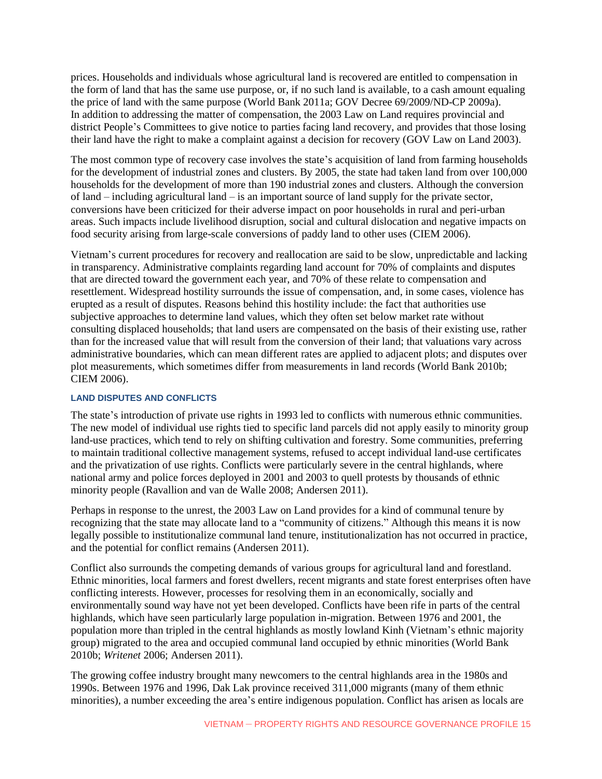prices. Households and individuals whose agricultural land is recovered are entitled to compensation in the form of land that has the same use purpose, or, if no such land is available, to a cash amount equaling the price of land with the same purpose (World Bank 2011a; GOV Decree 69/2009/ND-CP 2009a). In addition to addressing the matter of compensation, the 2003 Law on Land requires provincial and district People's Committees to give notice to parties facing land recovery, and provides that those losing their land have the right to make a complaint against a decision for recovery (GOV Law on Land 2003).

The most common type of recovery case involves the state's acquisition of land from farming households for the development of industrial zones and clusters. By 2005, the state had taken land from over 100,000 households for the development of more than 190 industrial zones and clusters. Although the conversion of land – including agricultural land – is an important source of land supply for the private sector, conversions have been criticized for their adverse impact on poor households in rural and peri-urban areas. Such impacts include livelihood disruption, social and cultural dislocation and negative impacts on food security arising from large-scale conversions of paddy land to other uses (CIEM 2006).

Vietnam's current procedures for recovery and reallocation are said to be slow, unpredictable and lacking in transparency. Administrative complaints regarding land account for 70% of complaints and disputes that are directed toward the government each year, and 70% of these relate to compensation and resettlement. Widespread hostility surrounds the issue of compensation, and, in some cases, violence has erupted as a result of disputes. Reasons behind this hostility include: the fact that authorities use subjective approaches to determine land values, which they often set below market rate without consulting displaced households; that land users are compensated on the basis of their existing use, rather than for the increased value that will result from the conversion of their land; that valuations vary across administrative boundaries, which can mean different rates are applied to adjacent plots; and disputes over plot measurements, which sometimes differ from measurements in land records (World Bank 2010b; CIEM 2006).

#### **LAND DISPUTES AND CONFLICTS**

The state's introduction of private use rights in 1993 led to conflicts with numerous ethnic communities. The new model of individual use rights tied to specific land parcels did not apply easily to minority group land-use practices, which tend to rely on shifting cultivation and forestry. Some communities, preferring to maintain traditional collective management systems, refused to accept individual land-use certificates and the privatization of use rights. Conflicts were particularly severe in the central highlands, where national army and police forces deployed in 2001 and 2003 to quell protests by thousands of ethnic minority people (Ravallion and van de Walle 2008; Andersen 2011).

Perhaps in response to the unrest, the 2003 Law on Land provides for a kind of communal tenure by recognizing that the state may allocate land to a "community of citizens." Although this means it is now legally possible to institutionalize communal land tenure, institutionalization has not occurred in practice, and the potential for conflict remains (Andersen 2011).

Conflict also surrounds the competing demands of various groups for agricultural land and forestland. Ethnic minorities, local farmers and forest dwellers, recent migrants and state forest enterprises often have conflicting interests. However, processes for resolving them in an economically, socially and environmentally sound way have not yet been developed. Conflicts have been rife in parts of the central highlands, which have seen particularly large population in-migration. Between 1976 and 2001, the population more than tripled in the central highlands as mostly lowland Kinh (Vietnam's ethnic majority group) migrated to the area and occupied communal land occupied by ethnic minorities (World Bank 2010b; *Writenet* 2006; Andersen 2011).

The growing coffee industry brought many newcomers to the central highlands area in the 1980s and 1990s. Between 1976 and 1996, Dak Lak province received 311,000 migrants (many of them ethnic minorities), a number exceeding the area's entire indigenous population. Conflict has arisen as locals are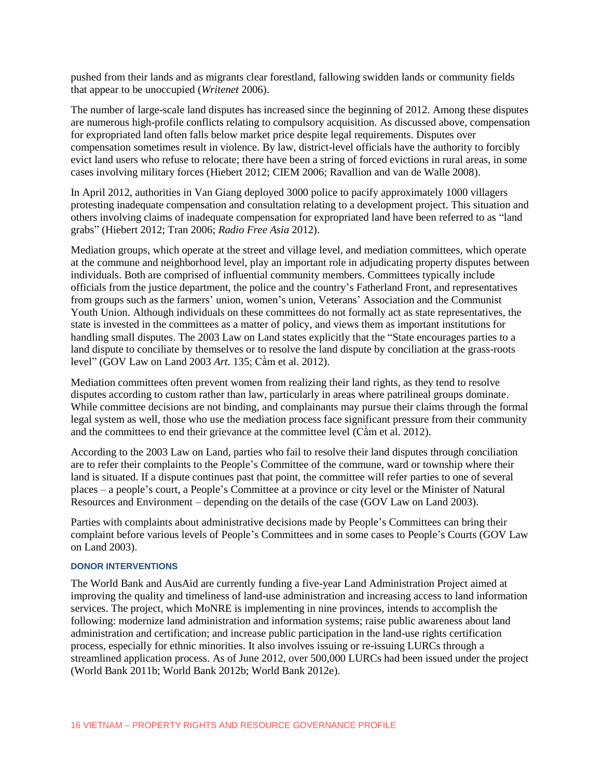pushed from their lands and as migrants clear forestland, fallowing swidden lands or community fields that appear to be unoccupied (*Writenet* 2006).

The number of large-scale land disputes has increased since the beginning of 2012. Among these disputes are numerous high-profile conflicts relating to compulsory acquisition. As discussed above, compensation for expropriated land often falls below market price despite legal requirements. Disputes over compensation sometimes result in violence. By law, district-level officials have the authority to forcibly evict land users who refuse to relocate; there have been a string of forced evictions in rural areas, in some cases involving military forces (Hiebert 2012; CIEM 2006; Ravallion and van de Walle 2008).

In April 2012, authorities in Van Giang deployed 3000 police to pacify approximately 1000 villagers protesting inadequate compensation and consultation relating to a development project. This situation and others involving claims of inadequate compensation for expropriated land have been referred to as "land grabs" (Hiebert 2012; Tran 2006; *Radio Free Asia* 2012).

Mediation groups, which operate at the street and village level, and mediation committees, which operate at the commune and neighborhood level, play an important role in adjudicating property disputes between individuals. Both are comprised of influential community members. Committees typically include officials from the justice department, the police and the country's Fatherland Front, and representatives from groups such as the farmers' union, women's union, Veterans' Association and the Communist Youth Union. Although individuals on these committees do not formally act as state representatives, the state is invested in the committees as a matter of policy, and views them as important institutions for handling small disputes. The 2003 Law on Land states explicitly that the "State encourages parties to a land dispute to conciliate by themselves or to resolve the land dispute by conciliation at the grass-roots level" (GOV Law on Land 2003 *Art*. 135; Cầm et al. 2012).

Mediation committees often prevent women from realizing their land rights, as they tend to resolve disputes according to custom rather than law, particularly in areas where patrilineal groups dominate. While committee decisions are not binding, and complainants may pursue their claims through the formal legal system as well, those who use the mediation process face significant pressure from their community and the committees to end their grievance at the committee level (Cầm et al. 2012).

According to the 2003 Law on Land, parties who fail to resolve their land disputes through conciliation are to refer their complaints to the People's Committee of the commune, ward or township where their land is situated. If a dispute continues past that point, the committee will refer parties to one of several places – a people's court, a People's Committee at a province or city level or the Minister of Natural Resources and Environment – depending on the details of the case (GOV Law on Land 2003).

Parties with complaints about administrative decisions made by People's Committees can bring their complaint before various levels of People's Committees and in some cases to People's Courts (GOV Law on Land 2003).

#### **DONOR INTERVENTIONS**

The World Bank and AusAid are currently funding a five-year Land Administration Project aimed at improving the quality and timeliness of land-use administration and increasing access to land information services. The project, which MoNRE is implementing in nine provinces, intends to accomplish the following: modernize land administration and information systems; raise public awareness about land administration and certification; and increase public participation in the land-use rights certification process, especially for ethnic minorities. It also involves issuing or re-issuing LURCs through a streamlined application process. As of June 2012, over 500,000 LURCs had been issued under the project (World Bank 2011b; World Bank 2012b; World Bank 2012e).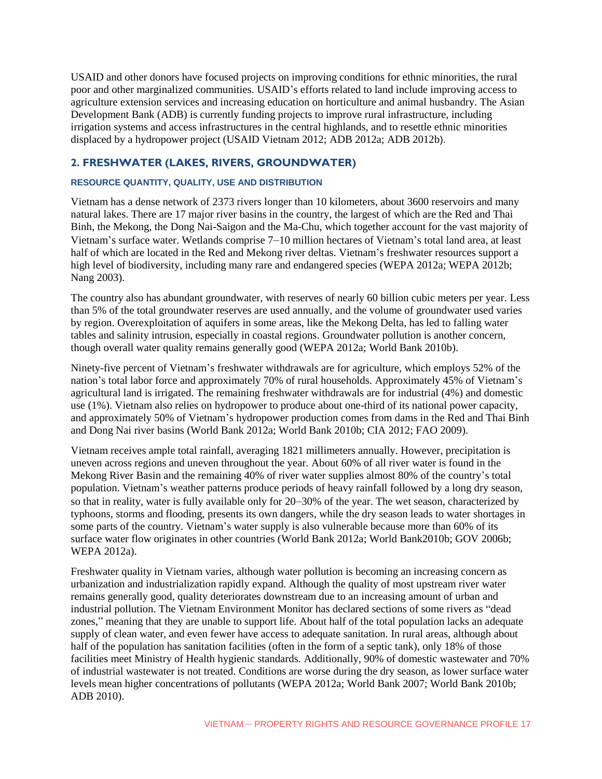USAID and other donors have focused projects on improving conditions for ethnic minorities, the rural poor and other marginalized communities. USAID's efforts related to land include improving access to agriculture extension services and increasing education on horticulture and animal husbandry. The Asian Development Bank (ADB) is currently funding projects to improve rural infrastructure, including irrigation systems and access infrastructures in the central highlands, and to resettle ethnic minorities displaced by a hydropower project (USAID Vietnam 2012; ADB 2012a; ADB 2012b).

# **2. FRESHWATER (LAKES, RIVERS, GROUNDWATER)**

#### **RESOURCE QUANTITY, QUALITY, USE AND DISTRIBUTION**

Vietnam has a dense network of 2373 rivers longer than 10 kilometers, about 3600 reservoirs and many natural lakes. There are 17 major river basins in the country, the largest of which are the Red and Thai Binh, the Mekong, the Dong Nai-Saigon and the Ma-Chu, which together account for the vast majority of Vietnam's surface water. Wetlands comprise 7–10 million hectares of Vietnam's total land area, at least half of which are located in the Red and Mekong river deltas. Vietnam's freshwater resources support a high level of biodiversity, including many rare and endangered species (WEPA 2012a; WEPA 2012b; Nang 2003).

The country also has abundant groundwater, with reserves of nearly 60 billion cubic meters per year. Less than 5% of the total groundwater reserves are used annually, and the volume of groundwater used varies by region. Overexploitation of aquifers in some areas, like the Mekong Delta, has led to falling water tables and salinity intrusion, especially in coastal regions. Groundwater pollution is another concern, though overall water quality remains generally good (WEPA 2012a; World Bank 2010b).

Ninety-five percent of Vietnam's freshwater withdrawals are for agriculture, which employs 52% of the nation's total labor force and approximately 70% of rural households. Approximately 45% of Vietnam's agricultural land is irrigated. The remaining freshwater withdrawals are for industrial (4%) and domestic use (1%). Vietnam also relies on hydropower to produce about one-third of its national power capacity, and approximately 50% of Vietnam's hydropower production comes from dams in the Red and Thai Binh and Dong Nai river basins (World Bank 2012a; World Bank 2010b; CIA 2012; FAO 2009).

Vietnam receives ample total rainfall, averaging 1821 millimeters annually. However, precipitation is uneven across regions and uneven throughout the year. About 60% of all river water is found in the Mekong River Basin and the remaining 40% of river water supplies almost 80% of the country's total population. Vietnam's weather patterns produce periods of heavy rainfall followed by a long dry season, so that in reality, water is fully available only for 20–30% of the year. The wet season, characterized by typhoons, storms and flooding, presents its own dangers, while the dry season leads to water shortages in some parts of the country. Vietnam's water supply is also vulnerable because more than 60% of its surface water flow originates in other countries (World Bank 2012a; World Bank2010b; GOV 2006b; WEPA 2012a).

Freshwater quality in Vietnam varies, although water pollution is becoming an increasing concern as urbanization and industrialization rapidly expand. Although the quality of most upstream river water remains generally good, quality deteriorates downstream due to an increasing amount of urban and industrial pollution. The Vietnam Environment Monitor has declared sections of some rivers as "dead zones," meaning that they are unable to support life. About half of the total population lacks an adequate supply of clean water, and even fewer have access to adequate sanitation. In rural areas, although about half of the population has sanitation facilities (often in the form of a septic tank), only 18% of those facilities meet Ministry of Health hygienic standards. Additionally, 90% of domestic wastewater and 70% of industrial wastewater is not treated. Conditions are worse during the dry season, as lower surface water levels mean higher concentrations of pollutants (WEPA 2012a; World Bank 2007; World Bank 2010b; ADB 2010).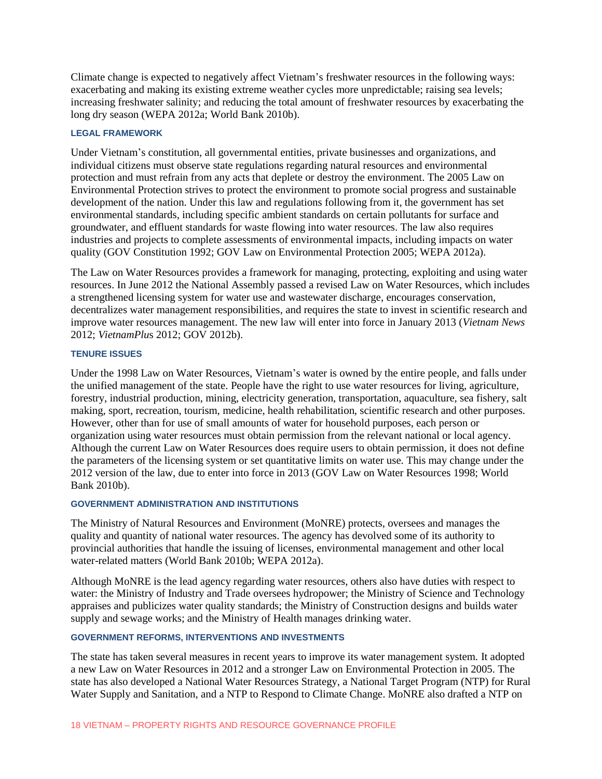Climate change is expected to negatively affect Vietnam's freshwater resources in the following ways: exacerbating and making its existing extreme weather cycles more unpredictable; raising sea levels; increasing freshwater salinity; and reducing the total amount of freshwater resources by exacerbating the long dry season (WEPA 2012a; World Bank 2010b).

### **LEGAL FRAMEWORK**

Under Vietnam's constitution, all governmental entities, private businesses and organizations, and individual citizens must observe state regulations regarding natural resources and environmental protection and must refrain from any acts that deplete or destroy the environment. The 2005 Law on Environmental Protection strives to protect the environment to promote social progress and sustainable development of the nation. Under this law and regulations following from it, the government has set environmental standards, including specific ambient standards on certain pollutants for surface and groundwater, and effluent standards for waste flowing into water resources. The law also requires industries and projects to complete assessments of environmental impacts, including impacts on water quality (GOV Constitution 1992; GOV Law on Environmental Protection 2005; WEPA 2012a).

The Law on Water Resources provides a framework for managing, protecting, exploiting and using water resources. In June 2012 the National Assembly passed a revised Law on Water Resources, which includes a strengthened licensing system for water use and wastewater discharge, encourages conservation, decentralizes water management responsibilities, and requires the state to invest in scientific research and improve water resources management. The new law will enter into force in January 2013 (*Vietnam News*  2012; *VietnamPlu*s 2012; GOV 2012b).

#### **TENURE ISSUES**

Under the 1998 Law on Water Resources, Vietnam's water is owned by the entire people, and falls under the unified management of the state. People have the right to use water resources for living, agriculture, forestry, industrial production, mining, electricity generation, transportation, aquaculture, sea fishery, salt making, sport, recreation, tourism, medicine, health rehabilitation, scientific research and other purposes. However, other than for use of small amounts of water for household purposes, each person or organization using water resources must obtain permission from the relevant national or local agency. Although the current Law on Water Resources does require users to obtain permission, it does not define the parameters of the licensing system or set quantitative limits on water use. This may change under the 2012 version of the law, due to enter into force in 2013 (GOV Law on Water Resources 1998; World Bank 2010b).

# **GOVERNMENT ADMINISTRATION AND INSTITUTIONS**

The Ministry of Natural Resources and Environment (MoNRE) protects, oversees and manages the quality and quantity of national water resources. The agency has devolved some of its authority to provincial authorities that handle the issuing of licenses, environmental management and other local water-related matters (World Bank 2010b; WEPA 2012a).

Although MoNRE is the lead agency regarding water resources, others also have duties with respect to water: the Ministry of Industry and Trade oversees hydropower; the Ministry of Science and Technology appraises and publicizes water quality standards; the Ministry of Construction designs and builds water supply and sewage works; and the Ministry of Health manages drinking water.

# **GOVERNMENT REFORMS, INTERVENTIONS AND INVESTMENTS**

The state has taken several measures in recent years to improve its water management system. It adopted a new Law on Water Resources in 2012 and a stronger Law on Environmental Protection in 2005. The state has also developed a National Water Resources Strategy, a National Target Program (NTP) for Rural Water Supply and Sanitation, and a NTP to Respond to Climate Change. MoNRE also drafted a NTP on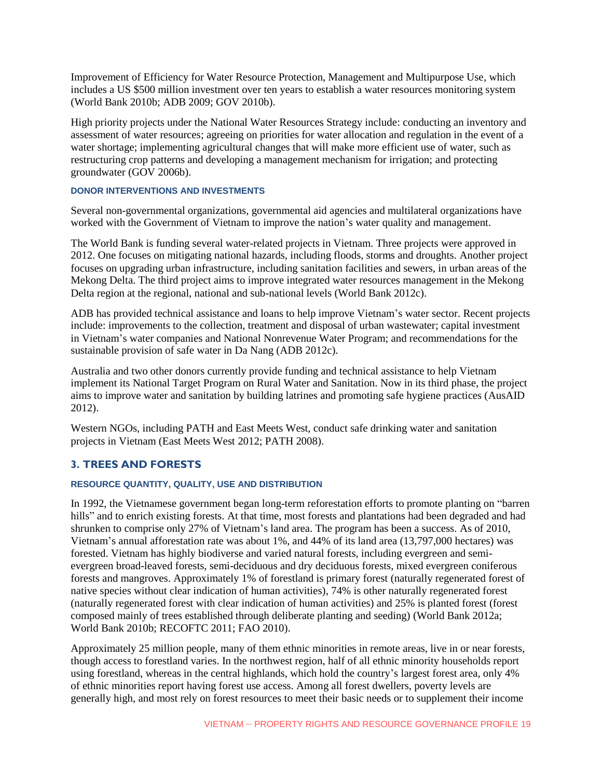Improvement of Efficiency for Water Resource Protection, Management and Multipurpose Use, which includes a US \$500 million investment over ten years to establish a water resources monitoring system (World Bank 2010b; ADB 2009; GOV 2010b).

High priority projects under the National Water Resources Strategy include: conducting an inventory and assessment of water resources; agreeing on priorities for water allocation and regulation in the event of a water shortage; implementing agricultural changes that will make more efficient use of water, such as restructuring crop patterns and developing a management mechanism for irrigation; and protecting groundwater (GOV 2006b).

# **DONOR INTERVENTIONS AND INVESTMENTS**

Several non-governmental organizations, governmental aid agencies and multilateral organizations have worked with the Government of Vietnam to improve the nation's water quality and management.

The World Bank is funding several water-related projects in Vietnam. Three projects were approved in 2012. One focuses on mitigating national hazards, including floods, storms and droughts. Another project focuses on upgrading urban infrastructure, including sanitation facilities and sewers, in urban areas of the Mekong Delta. The third project aims to improve integrated water resources management in the Mekong Delta region at the regional, national and sub-national levels (World Bank 2012c).

ADB has provided technical assistance and loans to help improve Vietnam's water sector. Recent projects include: improvements to the collection, treatment and disposal of urban wastewater; capital investment in Vietnam's water companies and National Nonrevenue Water Program; and recommendations for the sustainable provision of safe water in Da Nang (ADB 2012c).

Australia and two other donors currently provide funding and technical assistance to help Vietnam implement its National Target Program on Rural Water and Sanitation. Now in its third phase, the project aims to improve water and sanitation by building latrines and promoting safe hygiene practices (AusAID 2012).

Western NGOs, including PATH and East Meets West, conduct safe drinking water and sanitation projects in Vietnam (East Meets West 2012; PATH 2008).

# **3. TREES AND FORESTS**

# **RESOURCE QUANTITY, QUALITY, USE AND DISTRIBUTION**

In 1992, the Vietnamese government began long-term reforestation efforts to promote planting on "barren hills" and to enrich existing forests. At that time, most forests and plantations had been degraded and had shrunken to comprise only 27% of Vietnam's land area. The program has been a success. As of 2010, Vietnam's annual afforestation rate was about 1%, and 44% of its land area (13,797,000 hectares) was forested. Vietnam has highly biodiverse and varied natural forests, including evergreen and semievergreen broad-leaved forests, semi-deciduous and dry deciduous forests, mixed evergreen coniferous forests and mangroves. Approximately 1% of forestland is primary forest (naturally regenerated forest of native species without clear indication of human activities), 74% is other naturally regenerated forest (naturally regenerated forest with clear indication of human activities) and 25% is planted forest (forest composed mainly of trees established through deliberate planting and seeding) (World Bank 2012a; World Bank 2010b; RECOFTC 2011; FAO 2010).

Approximately 25 million people, many of them ethnic minorities in remote areas, live in or near forests, though access to forestland varies. In the northwest region, half of all ethnic minority households report using forestland, whereas in the central highlands, which hold the country's largest forest area, only 4% of ethnic minorities report having forest use access. Among all forest dwellers, poverty levels are generally high, and most rely on forest resources to meet their basic needs or to supplement their income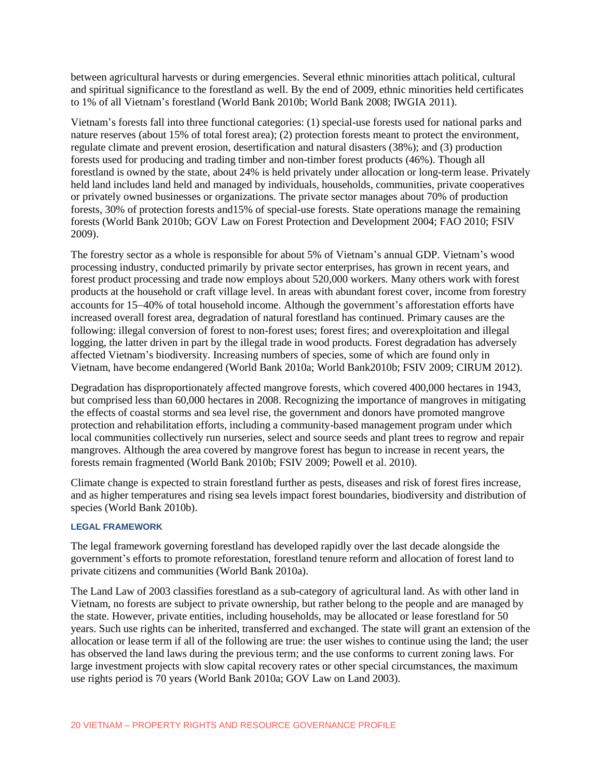between agricultural harvests or during emergencies. Several ethnic minorities attach political, cultural and spiritual significance to the forestland as well. By the end of 2009, ethnic minorities held certificates to 1% of all Vietnam's forestland (World Bank 2010b; World Bank 2008; IWGIA 2011).

Vietnam's forests fall into three functional categories: (1) special-use forests used for national parks and nature reserves (about 15% of total forest area); (2) protection forests meant to protect the environment, regulate climate and prevent erosion, desertification and natural disasters (38%); and (3) production forests used for producing and trading timber and non-timber forest products (46%). Though all forestland is owned by the state, about 24% is held privately under allocation or long-term lease. Privately held land includes land held and managed by individuals, households, communities, private cooperatives or privately owned businesses or organizations. The private sector manages about 70% of production forests, 30% of protection forests and15% of special-use forests. State operations manage the remaining forests (World Bank 2010b; GOV Law on Forest Protection and Development 2004; FAO 2010; FSIV 2009).

The forestry sector as a whole is responsible for about 5% of Vietnam's annual GDP. Vietnam's wood processing industry, conducted primarily by private sector enterprises, has grown in recent years, and forest product processing and trade now employs about 520,000 workers. Many others work with forest products at the household or craft village level. In areas with abundant forest cover, income from forestry accounts for 15–40% of total household income. Although the government's afforestation efforts have increased overall forest area, degradation of natural forestland has continued. Primary causes are the following: illegal conversion of forest to non-forest uses; forest fires; and overexploitation and illegal logging, the latter driven in part by the illegal trade in wood products. Forest degradation has adversely affected Vietnam's biodiversity. Increasing numbers of species, some of which are found only in Vietnam, have become endangered (World Bank 2010a; World Bank2010b; FSIV 2009; CIRUM 2012).

Degradation has disproportionately affected mangrove forests, which covered 400,000 hectares in 1943, but comprised less than 60,000 hectares in 2008. Recognizing the importance of mangroves in mitigating the effects of coastal storms and sea level rise, the government and donors have promoted mangrove protection and rehabilitation efforts, including a community-based management program under which local communities collectively run nurseries, select and source seeds and plant trees to regrow and repair mangroves. Although the area covered by mangrove forest has begun to increase in recent years, the forests remain fragmented (World Bank 2010b; FSIV 2009; Powell et al. 2010).

Climate change is expected to strain forestland further as pests, diseases and risk of forest fires increase, and as higher temperatures and rising sea levels impact forest boundaries, biodiversity and distribution of species (World Bank 2010b).

#### **LEGAL FRAMEWORK**

The legal framework governing forestland has developed rapidly over the last decade alongside the government's efforts to promote reforestation, forestland tenure reform and allocation of forest land to private citizens and communities (World Bank 2010a).

The Land Law of 2003 classifies forestland as a sub-category of agricultural land. As with other land in Vietnam, no forests are subject to private ownership, but rather belong to the people and are managed by the state. However, private entities, including households, may be allocated or lease forestland for 50 years. Such use rights can be inherited, transferred and exchanged. The state will grant an extension of the allocation or lease term if all of the following are true: the user wishes to continue using the land; the user has observed the land laws during the previous term; and the use conforms to current zoning laws. For large investment projects with slow capital recovery rates or other special circumstances, the maximum use rights period is 70 years (World Bank 2010a; GOV Law on Land 2003).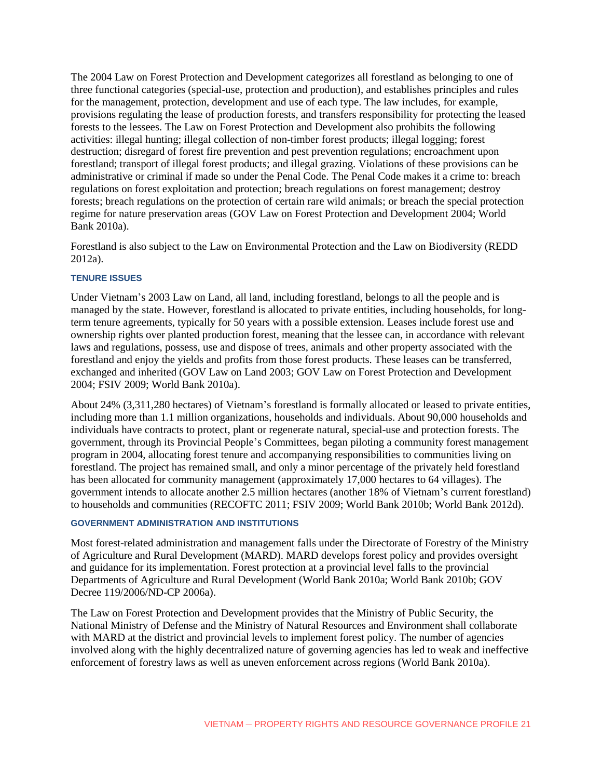The 2004 Law on Forest Protection and Development categorizes all forestland as belonging to one of three functional categories (special-use, protection and production), and establishes principles and rules for the management, protection, development and use of each type. The law includes, for example, provisions regulating the lease of production forests, and transfers responsibility for protecting the leased forests to the lessees. The Law on Forest Protection and Development also prohibits the following activities: illegal hunting; illegal collection of non-timber forest products; illegal logging; forest destruction; disregard of forest fire prevention and pest prevention regulations; encroachment upon forestland; transport of illegal forest products; and illegal grazing. Violations of these provisions can be administrative or criminal if made so under the Penal Code. The Penal Code makes it a crime to: breach regulations on forest exploitation and protection; breach regulations on forest management; destroy forests; breach regulations on the protection of certain rare wild animals; or breach the special protection regime for nature preservation areas (GOV Law on Forest Protection and Development 2004; World Bank 2010a).

Forestland is also subject to the Law on Environmental Protection and the Law on Biodiversity (REDD 2012a).

#### **TENURE ISSUES**

Under Vietnam's 2003 Law on Land, all land, including forestland, belongs to all the people and is managed by the state. However, forestland is allocated to private entities, including households, for longterm tenure agreements, typically for 50 years with a possible extension. Leases include forest use and ownership rights over planted production forest, meaning that the lessee can, in accordance with relevant laws and regulations, possess, use and dispose of trees, animals and other property associated with the forestland and enjoy the yields and profits from those forest products. These leases can be transferred, exchanged and inherited (GOV Law on Land 2003; GOV Law on Forest Protection and Development 2004; FSIV 2009; World Bank 2010a).

About 24% (3,311,280 hectares) of Vietnam's forestland is formally allocated or leased to private entities, including more than 1.1 million organizations, households and individuals. About 90,000 households and individuals have contracts to protect, plant or regenerate natural, special-use and protection forests. The government, through its Provincial People's Committees, began piloting a community forest management program in 2004, allocating forest tenure and accompanying responsibilities to communities living on forestland. The project has remained small, and only a minor percentage of the privately held forestland has been allocated for community management (approximately 17,000 hectares to 64 villages). The government intends to allocate another 2.5 million hectares (another 18% of Vietnam's current forestland) to households and communities (RECOFTC 2011; FSIV 2009; World Bank 2010b; World Bank 2012d).

#### **GOVERNMENT ADMINISTRATION AND INSTITUTIONS**

Most forest-related administration and management falls under the Directorate of Forestry of the Ministry of Agriculture and Rural Development (MARD). MARD develops forest policy and provides oversight and guidance for its implementation. Forest protection at a provincial level falls to the provincial Departments of Agriculture and Rural Development (World Bank 2010a; World Bank 2010b; GOV Decree 119/2006/ND-CP 2006a).

The Law on Forest Protection and Development provides that the Ministry of Public Security, the National Ministry of Defense and the Ministry of Natural Resources and Environment shall collaborate with MARD at the district and provincial levels to implement forest policy. The number of agencies involved along with the highly decentralized nature of governing agencies has led to weak and ineffective enforcement of forestry laws as well as uneven enforcement across regions (World Bank 2010a).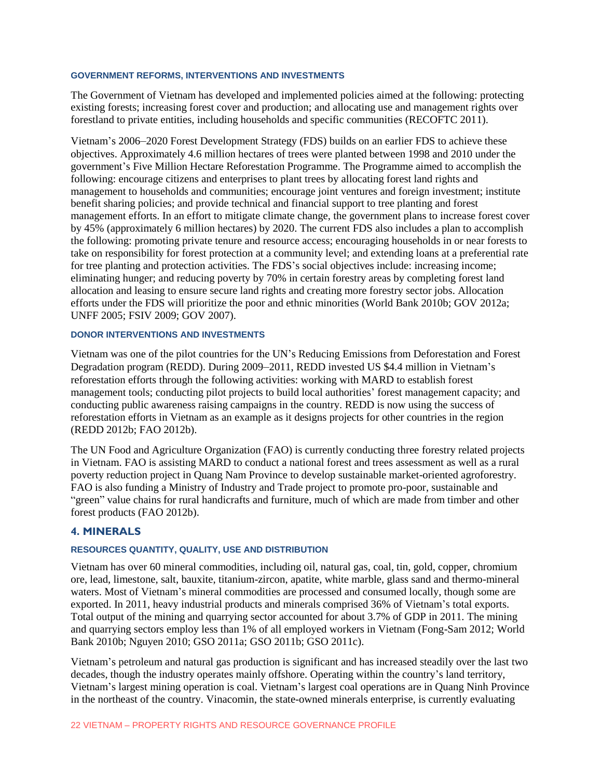# **GOVERNMENT REFORMS, INTERVENTIONS AND INVESTMENTS**

The Government of Vietnam has developed and implemented policies aimed at the following: protecting existing forests; increasing forest cover and production; and allocating use and management rights over forestland to private entities, including households and specific communities (RECOFTC 2011).

Vietnam's 2006–2020 Forest Development Strategy (FDS) builds on an earlier FDS to achieve these objectives. Approximately 4.6 million hectares of trees were planted between 1998 and 2010 under the government's Five Million Hectare Reforestation Programme. The Programme aimed to accomplish the following: encourage citizens and enterprises to plant trees by allocating forest land rights and management to households and communities; encourage joint ventures and foreign investment; institute benefit sharing policies; and provide technical and financial support to tree planting and forest management efforts. In an effort to mitigate climate change, the government plans to increase forest cover by 45% (approximately 6 million hectares) by 2020. The current FDS also includes a plan to accomplish the following: promoting private tenure and resource access; encouraging households in or near forests to take on responsibility for forest protection at a community level; and extending loans at a preferential rate for tree planting and protection activities. The FDS's social objectives include: increasing income; eliminating hunger; and reducing poverty by 70% in certain forestry areas by completing forest land allocation and leasing to ensure secure land rights and creating more forestry sector jobs. Allocation efforts under the FDS will prioritize the poor and ethnic minorities (World Bank 2010b; GOV 2012a; UNFF 2005; FSIV 2009; GOV 2007).

#### **DONOR INTERVENTIONS AND INVESTMENTS**

Vietnam was one of the pilot countries for the UN's Reducing Emissions from Deforestation and Forest Degradation program (REDD). During 2009–2011, REDD invested US \$4.4 million in Vietnam's reforestation efforts through the following activities: working with MARD to establish forest management tools; conducting pilot projects to build local authorities' forest management capacity; and conducting public awareness raising campaigns in the country. REDD is now using the success of reforestation efforts in Vietnam as an example as it designs projects for other countries in the region (REDD 2012b; FAO 2012b).

The UN Food and Agriculture Organization (FAO) is currently conducting three forestry related projects in Vietnam. FAO is assisting MARD to conduct a national forest and trees assessment as well as a rural poverty reduction project in Quang Nam Province to develop sustainable market-oriented agroforestry. FAO is also funding a Ministry of Industry and Trade project to promote pro-poor, sustainable and "green" value chains for rural handicrafts and furniture, much of which are made from timber and other forest products (FAO 2012b).

# **4. MINERALS**

#### **RESOURCES QUANTITY, QUALITY, USE AND DISTRIBUTION**

Vietnam has over 60 mineral commodities, including oil, natural gas, coal, tin, gold, copper, chromium ore, lead, limestone, salt, bauxite, titanium-zircon, apatite, white marble, glass sand and thermo-mineral waters. Most of Vietnam's mineral commodities are processed and consumed locally, though some are exported. In 2011, heavy industrial products and minerals comprised 36% of Vietnam's total exports. Total output of the mining and quarrying sector accounted for about 3.7% of GDP in 2011. The mining and quarrying sectors employ less than 1% of all employed workers in Vietnam (Fong-Sam 2012; World Bank 2010b; Nguyen 2010; GSO 2011a; GSO 2011b; GSO 2011c).

Vietnam's petroleum and natural gas production is significant and has increased steadily over the last two decades, though the industry operates mainly offshore. Operating within the country's land territory, Vietnam's largest mining operation is coal. Vietnam's largest coal operations are in Quang Ninh Province in the northeast of the country. Vinacomin, the state-owned minerals enterprise, is currently evaluating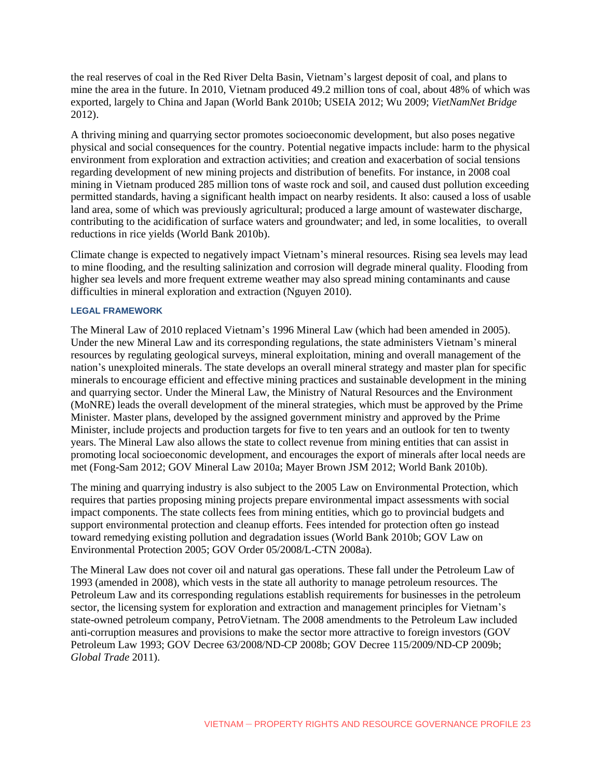the real reserves of coal in the Red River Delta Basin, Vietnam's largest deposit of coal, and plans to mine the area in the future. In 2010, Vietnam produced 49.2 million tons of coal, about 48% of which was exported, largely to China and Japan (World Bank 2010b; USEIA 2012; Wu 2009; *VietNamNet Bridge* 2012).

A thriving mining and quarrying sector promotes socioeconomic development, but also poses negative physical and social consequences for the country. Potential negative impacts include: harm to the physical environment from exploration and extraction activities; and creation and exacerbation of social tensions regarding development of new mining projects and distribution of benefits. For instance, in 2008 coal mining in Vietnam produced 285 million tons of waste rock and soil, and caused dust pollution exceeding permitted standards, having a significant health impact on nearby residents. It also: caused a loss of usable land area, some of which was previously agricultural; produced a large amount of wastewater discharge, contributing to the acidification of surface waters and groundwater; and led, in some localities, to overall reductions in rice yields (World Bank 2010b).

Climate change is expected to negatively impact Vietnam's mineral resources. Rising sea levels may lead to mine flooding, and the resulting salinization and corrosion will degrade mineral quality. Flooding from higher sea levels and more frequent extreme weather may also spread mining contaminants and cause difficulties in mineral exploration and extraction (Nguyen 2010).

#### **LEGAL FRAMEWORK**

The Mineral Law of 2010 replaced Vietnam's 1996 Mineral Law (which had been amended in 2005). Under the new Mineral Law and its corresponding regulations, the state administers Vietnam's mineral resources by regulating geological surveys, mineral exploitation, mining and overall management of the nation's unexploited minerals. The state develops an overall mineral strategy and master plan for specific minerals to encourage efficient and effective mining practices and sustainable development in the mining and quarrying sector. Under the Mineral Law, the Ministry of Natural Resources and the Environment (MoNRE) leads the overall development of the mineral strategies, which must be approved by the Prime Minister. Master plans, developed by the assigned government ministry and approved by the Prime Minister, include projects and production targets for five to ten years and an outlook for ten to twenty years. The Mineral Law also allows the state to collect revenue from mining entities that can assist in promoting local socioeconomic development, and encourages the export of minerals after local needs are met (Fong-Sam 2012; GOV Mineral Law 2010a; Mayer Brown JSM 2012; World Bank 2010b).

The mining and quarrying industry is also subject to the 2005 Law on Environmental Protection, which requires that parties proposing mining projects prepare environmental impact assessments with social impact components. The state collects fees from mining entities, which go to provincial budgets and support environmental protection and cleanup efforts. Fees intended for protection often go instead toward remedying existing pollution and degradation issues (World Bank 2010b; GOV Law on Environmental Protection 2005; GOV Order 05/2008/L-CTN 2008a).

The Mineral Law does not cover oil and natural gas operations. These fall under the Petroleum Law of 1993 (amended in 2008), which vests in the state all authority to manage petroleum resources. The Petroleum Law and its corresponding regulations establish requirements for businesses in the petroleum sector, the licensing system for exploration and extraction and management principles for Vietnam's state-owned petroleum company, PetroVietnam. The 2008 amendments to the Petroleum Law included anti-corruption measures and provisions to make the sector more attractive to foreign investors (GOV Petroleum Law 1993; GOV Decree 63/2008/ND-CP 2008b; GOV Decree 115/2009/ND-CP 2009b; *Global Trade* 2011).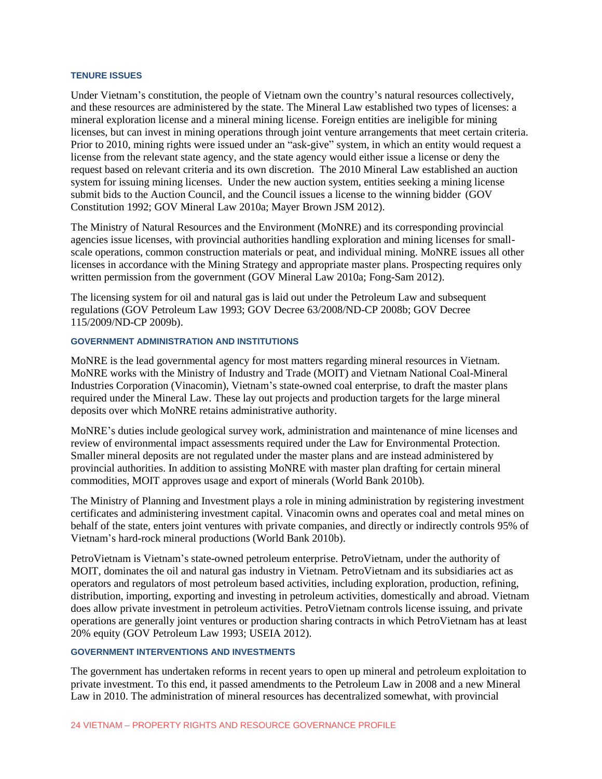#### **TENURE ISSUES**

Under Vietnam's constitution, the people of Vietnam own the country's natural resources collectively, and these resources are administered by the state. The Mineral Law established two types of licenses: a mineral exploration license and a mineral mining license. Foreign entities are ineligible for mining licenses, but can invest in mining operations through joint venture arrangements that meet certain criteria. Prior to 2010, mining rights were issued under an "ask-give" system, in which an entity would request a license from the relevant state agency, and the state agency would either issue a license or deny the request based on relevant criteria and its own discretion. The 2010 Mineral Law established an auction system for issuing mining licenses. Under the new auction system, entities seeking a mining license submit bids to the Auction Council, and the Council issues a license to the winning bidder (GOV Constitution 1992; GOV Mineral Law 2010a; Mayer Brown JSM 2012).

The Ministry of Natural Resources and the Environment (MoNRE) and its corresponding provincial agencies issue licenses, with provincial authorities handling exploration and mining licenses for smallscale operations, common construction materials or peat, and individual mining. MoNRE issues all other licenses in accordance with the Mining Strategy and appropriate master plans. Prospecting requires only written permission from the government (GOV Mineral Law 2010a; Fong-Sam 2012).

The licensing system for oil and natural gas is laid out under the Petroleum Law and subsequent regulations (GOV Petroleum Law 1993; GOV Decree 63/2008/ND-CP 2008b; GOV Decree 115/2009/ND-CP 2009b).

### **GOVERNMENT ADMINISTRATION AND INSTITUTIONS**

MoNRE is the lead governmental agency for most matters regarding mineral resources in Vietnam. MoNRE works with the Ministry of Industry and Trade (MOIT) and Vietnam National Coal-Mineral Industries Corporation (Vinacomin), Vietnam's state-owned coal enterprise, to draft the master plans required under the Mineral Law. These lay out projects and production targets for the large mineral deposits over which MoNRE retains administrative authority.

MoNRE's duties include geological survey work, administration and maintenance of mine licenses and review of environmental impact assessments required under the Law for Environmental Protection. Smaller mineral deposits are not regulated under the master plans and are instead administered by provincial authorities. In addition to assisting MoNRE with master plan drafting for certain mineral commodities, MOIT approves usage and export of minerals (World Bank 2010b).

The Ministry of Planning and Investment plays a role in mining administration by registering investment certificates and administering investment capital. Vinacomin owns and operates coal and metal mines on behalf of the state, enters joint ventures with private companies, and directly or indirectly controls 95% of Vietnam's hard-rock mineral productions (World Bank 2010b).

PetroVietnam is Vietnam's state-owned petroleum enterprise. PetroVietnam, under the authority of MOIT, dominates the oil and natural gas industry in Vietnam. PetroVietnam and its subsidiaries act as operators and regulators of most petroleum based activities, including exploration, production, refining, distribution, importing, exporting and investing in petroleum activities, domestically and abroad. Vietnam does allow private investment in petroleum activities. PetroVietnam controls license issuing, and private operations are generally joint ventures or production sharing contracts in which PetroVietnam has at least 20% equity (GOV Petroleum Law 1993; USEIA 2012).

#### **GOVERNMENT INTERVENTIONS AND INVESTMENTS**

The government has undertaken reforms in recent years to open up mineral and petroleum exploitation to private investment. To this end, it passed amendments to the Petroleum Law in 2008 and a new Mineral Law in 2010. The administration of mineral resources has decentralized somewhat, with provincial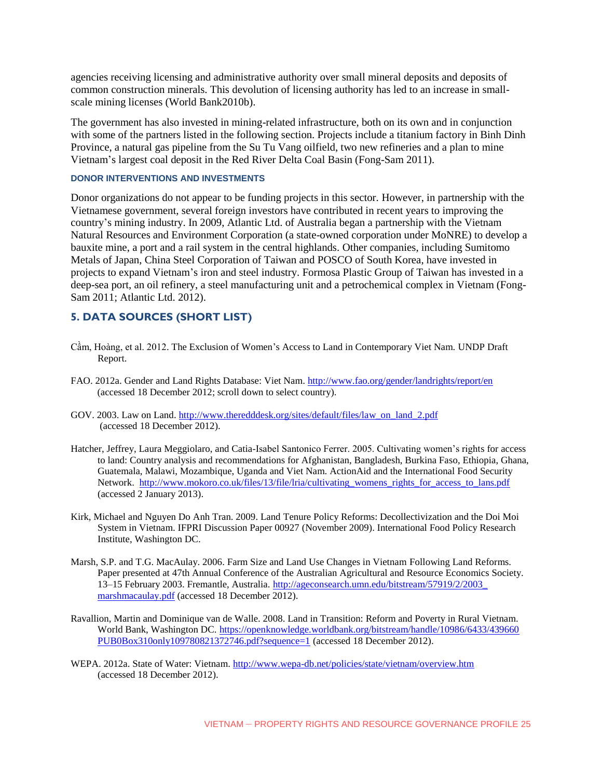agencies receiving licensing and administrative authority over small mineral deposits and deposits of common construction minerals. This devolution of licensing authority has led to an increase in smallscale mining licenses (World Bank2010b).

The government has also invested in mining-related infrastructure, both on its own and in conjunction with some of the partners listed in the following section. Projects include a titanium factory in Binh Dinh Province, a natural gas pipeline from the Su Tu Vang oilfield, two new refineries and a plan to mine Vietnam's largest coal deposit in the Red River Delta Coal Basin (Fong-Sam 2011).

# **DONOR INTERVENTIONS AND INVESTMENTS**

Donor organizations do not appear to be funding projects in this sector. However, in partnership with the Vietnamese government, several foreign investors have contributed in recent years to improving the country's mining industry. In 2009, Atlantic Ltd. of Australia began a partnership with the Vietnam Natural Resources and Environment Corporation (a state-owned corporation under MoNRE) to develop a bauxite mine, a port and a rail system in the central highlands. Other companies, including Sumitomo Metals of Japan, China Steel Corporation of Taiwan and POSCO of South Korea, have invested in projects to expand Vietnam's iron and steel industry. Formosa Plastic Group of Taiwan has invested in a deep-sea port, an oil refinery, a steel manufacturing unit and a petrochemical complex in Vietnam (Fong-Sam 2011; Atlantic Ltd. 2012).

# **5. DATA SOURCES (SHORT LIST)**

- Cầm, Hoàng, et al. 2012. The Exclusion of Women's Access to Land in Contemporary Viet Nam. UNDP Draft Report.
- FAO. 2012a. Gender and Land Rights Database: Viet Nam.<http://www.fao.org/gender/landrights/report/en> (accessed 18 December 2012; scroll down to select country).
- GOV. 2003. Law on Land. [http://www.theredddesk.org/sites/default/files/law\\_on\\_land\\_2.pdf](http://www.theredddesk.org/sites/default/files/law_on_land_2.pdf) (accessed 18 December 2012).
- Hatcher, Jeffrey, Laura Meggiolaro, and Catia-Isabel Santonico Ferrer. 2005. Cultivating women's rights for access to land: Country analysis and recommendations for Afghanistan, Bangladesh, Burkina Faso, Ethiopia, Ghana, Guatemala, Malawi, Mozambique, Uganda and Viet Nam. ActionAid and the International Food Security Network. [http://www.mokoro.co.uk/files/13/file/lria/cultivating\\_womens\\_rights\\_for\\_access\\_to\\_lans.pdf](http://www.mokoro.co.uk/files/13/file/lria/cultivating_womens_rights_for_access_to_lans.pdf) (accessed 2 January 2013).
- Kirk, Michael and Nguyen Do Anh Tran. 2009. Land Tenure Policy Reforms: Decollectivization and the Doi Moi System in Vietnam. IFPRI Discussion Paper 00927 (November 2009). International Food Policy Research Institute, Washington DC.
- Marsh, S.P. and T.G. MacAulay. 2006. Farm Size and Land Use Changes in Vietnam Following Land Reforms. Paper presented at 47th Annual Conference of the Australian Agricultural and Resource Economics Society. 13–15 February 2003. Fremantle, Australia. [http://ageconsearch.umn.edu/bitstream/57919/2/2003\\_](http://ageconsearch.umn.edu/bitstream/57919/2/2003_marshmacaulay.pdf) [marshmacaulay.pdf](http://ageconsearch.umn.edu/bitstream/57919/2/2003_marshmacaulay.pdf) (accessed 18 December 2012).
- Ravallion, Martin and Dominique van de Walle. 2008. Land in Transition: Reform and Poverty in Rural Vietnam. World Bank, Washington DC. [https://openknowledge.worldbank.org/bitstream/handle/10986/6433/439660](https://openknowledge.worldbank.org/bitstream/handle/10986/6433/439660PUB0Box310only109780821372746.pdf?sequence=1) [PUB0Box310only109780821372746.pdf?sequence=1](https://openknowledge.worldbank.org/bitstream/handle/10986/6433/439660PUB0Box310only109780821372746.pdf?sequence=1) (accessed 18 December 2012).
- WEPA. 2012a. State of Water: Vietnam.<http://www.wepa-db.net/policies/state/vietnam/overview.htm> (accessed 18 December 2012).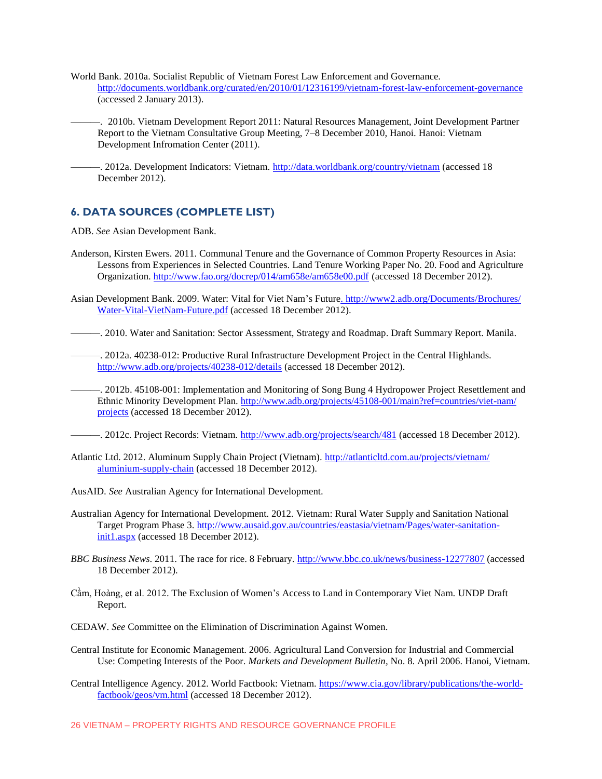- World Bank. 2010a. Socialist Republic of Vietnam Forest Law Enforcement and Governance. <http://documents.worldbank.org/curated/en/2010/01/12316199/vietnam-forest-law-enforcement-governance> (accessed 2 January 2013).
	- ———. 2010b. Vietnam Development Report 2011: Natural Resources Management, Joint Development Partner Report to the Vietnam Consultative Group Meeting, 7–8 December 2010, Hanoi. Hanoi: Vietnam Development Infromation Center (2011).
	- -. 2012a. Development Indicators: Vietnam.<http://data.worldbank.org/country/vietnam> (accessed 18 December 2012).

# **6. DATA SOURCES (COMPLETE LIST)**

ADB. *See* Asian Development Bank.

- Anderson, Kirsten Ewers. 2011. Communal Tenure and the Governance of Common Property Resources in Asia: Lessons from Experiences in Selected Countries. Land Tenure Working Paper No. 20. Food and Agriculture Organization. <http://www.fao.org/docrep/014/am658e/am658e00.pdf> (accessed 18 December 2012).
- Asian Development Bank. 2009. Water: Vital for Viet Nam's Futur[e. http://www2.adb.org/Documents/Brochures/](http://www2.adb.org/Documents/Brochures/Water-Vital-VietNam-Future.pdf) [Water-Vital-VietNam-Future.pdf](http://www2.adb.org/Documents/Brochures/Water-Vital-VietNam-Future.pdf) (accessed 18 December 2012).
- ———. 2010. Water and Sanitation: Sector Assessment, Strategy and Roadmap. Draft Summary Report. Manila.
- ———. 2012a. 40238-012: Productive Rural Infrastructure Development Project in the Central Highlands. <http://www.adb.org/projects/40238-012/details> (accessed 18 December 2012).
- ———. 2012b. 45108-001: Implementation and Monitoring of Song Bung 4 Hydropower Project Resettlement and Ethnic Minority Development Plan. [http://www.adb.org/projects/45108-001/main?ref=countries/viet-nam/](http://www.adb.org/projects/45108-001/main?ref=countries/viet-nam/projects) [projects](http://www.adb.org/projects/45108-001/main?ref=countries/viet-nam/projects) (accessed 18 December 2012).
	- ———. 2012c. Project Records: Vietnam.<http://www.adb.org/projects/search/481> (accessed 18 December 2012).
- Atlantic Ltd. 2012. Aluminum Supply Chain Project (Vietnam). [http://atlanticltd.com.au/projects/vietnam/](http://atlanticltd.com.au/projects/vietnam/aluminium-supply-chain) [aluminium-supply-chain](http://atlanticltd.com.au/projects/vietnam/aluminium-supply-chain) (accessed 18 December 2012).
- AusAID. *See* Australian Agency for International Development.
- Australian Agency for International Development. 2012. Vietnam: Rural Water Supply and Sanitation National Target Program Phase 3. [http://www.ausaid.gov.au/countries/eastasia/vietnam/Pages/water-sanitation](http://www.ausaid.gov.au/countries/eastasia/vietnam/Pages/water-sanitation-init1.aspx)[init1.aspx](http://www.ausaid.gov.au/countries/eastasia/vietnam/Pages/water-sanitation-init1.aspx) (accessed 18 December 2012).
- *BBC Business News*. 2011. The race for rice. 8 February.<http://www.bbc.co.uk/news/business-12277807> (accessed 18 December 2012).
- Cầm, Hoàng, et al. 2012. The Exclusion of Women's Access to Land in Contemporary Viet Nam. UNDP Draft Report.
- CEDAW. *See* Committee on the Elimination of Discrimination Against Women.
- Central Institute for Economic Management. 2006. Agricultural Land Conversion for Industrial and Commercial Use: Competing Interests of the Poor. *Markets and Development Bulletin,* No. 8. April 2006. Hanoi, Vietnam.
- Central Intelligence Agency. 2012. World Factbook: Vietnam. [https://www.cia.gov/library/publications/the-world](https://www.cia.gov/library/publications/the-world-factbook/geos/vm.html)[factbook/geos/vm.html](https://www.cia.gov/library/publications/the-world-factbook/geos/vm.html) (accessed 18 December 2012).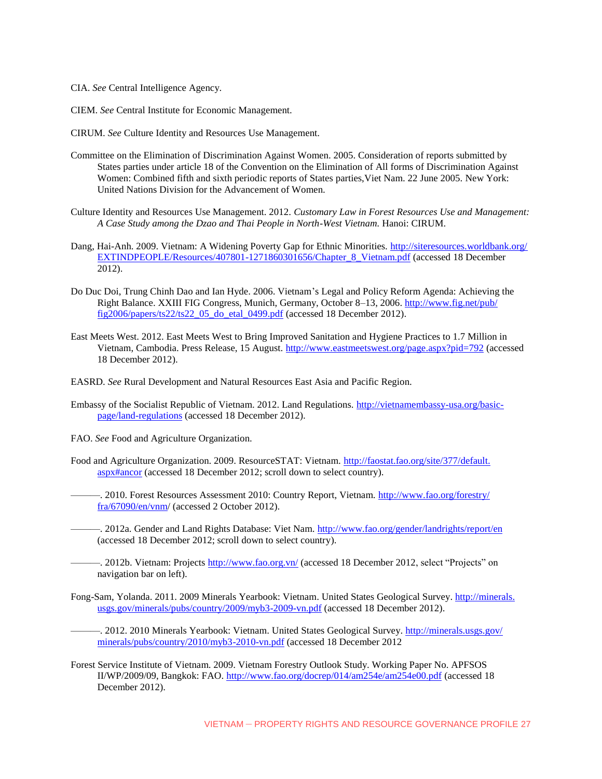- CIA. *See* Central Intelligence Agency.
- CIEM. *See* Central Institute for Economic Management.

CIRUM. *See* Culture Identity and Resources Use Management.

- Committee on the Elimination of Discrimination Against Women. 2005. Consideration of reports submitted by States parties under article 18 of the Convention on the Elimination of All forms of Discrimination Against Women: Combined fifth and sixth periodic reports of States parties,Viet Nam. 22 June 2005. New York: United Nations Division for the Advancement of Women.
- Culture Identity and Resources Use Management. 2012. *Customary Law in Forest Resources Use and Management: A Case Study among the Dzao and Thai People in North-West Vietnam.* Hanoi: CIRUM.
- Dang, Hai-Anh. 2009. Vietnam: A Widening Poverty Gap for Ethnic Minorities. [http://siteresources.worldbank.org/](http://siteresources.worldbank.org/EXTINDPEOPLE/Resources/407801-1271860301656/Chapter_8_Vietnam.pdf) [EXTINDPEOPLE/Resources/407801-1271860301656/Chapter\\_8\\_Vietnam.pdf](http://siteresources.worldbank.org/EXTINDPEOPLE/Resources/407801-1271860301656/Chapter_8_Vietnam.pdf) (accessed 18 December 2012).
- Do Duc Doi, Trung Chinh Dao and Ian Hyde. 2006. Vietnam's Legal and Policy Reform Agenda: Achieving the Right Balance. XXIII FIG Congress, Munich, Germany, October 8-13, 2006[. http://www.fig.net/pub/](http://www.fig.net/pub/fig2006/papers/ts22/ts22_05_do_etal_0499.pdf) [fig2006/papers/ts22/ts22\\_05\\_do\\_etal\\_0499.pdf](http://www.fig.net/pub/fig2006/papers/ts22/ts22_05_do_etal_0499.pdf) (accessed 18 December 2012).
- East Meets West. 2012. East Meets West to Bring Improved Sanitation and Hygiene Practices to 1.7 Million in Vietnam, Cambodia. Press Release, 15 August.<http://www.eastmeetswest.org/page.aspx?pid=792> (accessed 18 December 2012).

EASRD. *See* Rural Development and Natural Resources East Asia and Pacific Region.

- Embassy of the Socialist Republic of Vietnam. 2012. Land Regulations. [http://vietnamembassy-usa.org/basic](http://vietnamembassy-usa.org/basic-page/land-regulations)[page/land-regulations](http://vietnamembassy-usa.org/basic-page/land-regulations) (accessed 18 December 2012).
- FAO. *See* Food and Agriculture Organization.
- Food and Agriculture Organization. 2009. ResourceSTAT: Vietnam. [http://faostat.fao.org/site/377/default.](http://faostat.fao.org/site/377/default.aspx#ancor) [aspx#ancor](http://faostat.fao.org/site/377/default.aspx#ancor) (accessed 18 December 2012; scroll down to select country).
	- ———. 2010. Forest Resources Assessment 2010: Country Report, Vietnam. [http://www.fao.org/forestry/](http://www.fao.org/forestry/fra/67090/en/vnm/) [fra/67090/en/vnm/](http://www.fao.org/forestry/fra/67090/en/vnm/) (accessed 2 October 2012).
	- —. 2012a. Gender and Land Rights Database: Viet Nam.<http://www.fao.org/gender/landrights/report/en> (accessed 18 December 2012; scroll down to select country).
	- —. 2012b. Vietnam: Projects<http://www.fao.org.vn/> (accessed 18 December 2012, select "Projects" on navigation bar on left).
- Fong-Sam, Yolanda. 2011. 2009 Minerals Yearbook: Vietnam. United States Geological Survey. [http://minerals.](http://minerals.usgs.gov/minerals/pubs/country/2009/myb3-2009-vn.pdf) [usgs.gov/minerals/pubs/country/2009/myb3-2009-vn.pdf](http://minerals.usgs.gov/minerals/pubs/country/2009/myb3-2009-vn.pdf) (accessed 18 December 2012).
	- —. 2012. 2010 Minerals Yearbook: Vietnam. United States Geological Survey. [http://minerals.usgs.gov/](http://minerals.usgs.gov/minerals/pubs/country/2010/myb3-2010-vn.pdf) [minerals/pubs/country/2010/myb3-2010-vn.pdf](http://minerals.usgs.gov/minerals/pubs/country/2010/myb3-2010-vn.pdf) (accessed 18 December 2012
- Forest Service Institute of Vietnam. 2009. Vietnam Forestry Outlook Study. Working Paper No. APFSOS II/WP/2009/09, Bangkok: FAO.<http://www.fao.org/docrep/014/am254e/am254e00.pdf> (accessed 18 December 2012).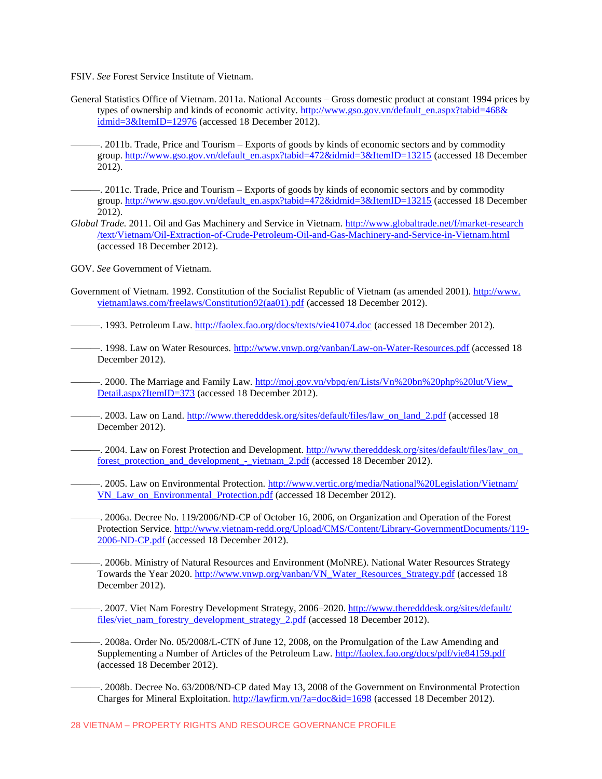FSIV. *See* Forest Service Institute of Vietnam.

- General Statistics Office of Vietnam. 2011a. National Accounts Gross domestic product at constant 1994 prices by types of ownership and kinds of economic activity. [http://www.gso.gov.vn/default\\_en.aspx?tabid=468&](http://www.gso.gov.vn/default_en.aspx?tabid=468&idmid=3&ItemID=12976) [idmid=3&ItemID=12976](http://www.gso.gov.vn/default_en.aspx?tabid=468&idmid=3&ItemID=12976) (accessed 18 December 2012).
	- ———. 2011b. Trade, Price and Tourism Exports of goods by kinds of economic sectors and by commodity group. [http://www.gso.gov.vn/default\\_en.aspx?tabid=472&idmid=3&ItemID=13215](http://www.gso.gov.vn/default_en.aspx?tabid=472&idmid=3&ItemID=13215) (accessed 18 December 2012).

———. 2011c. Trade, Price and Tourism – Exports of goods by kinds of economic sectors and by commodity group. [http://www.gso.gov.vn/default\\_en.aspx?tabid=472&idmid=3&ItemID=13215](http://www.gso.gov.vn/default_en.aspx?tabid=472&idmid=3&ItemID=13215%20) (accessed 18 December 2012).

- *Global Trade.* 2011. Oil and Gas Machinery and Service in Vietnam. [http://www.globaltrade.net/f/market-research](http://www.globaltrade.net/f/market-research/text/Vietnam/Oil-Extraction-of-Crude-Petroleum-Oil-and-Gas-Machinery-and-Service-in-Vietnam.html) [/text/Vietnam/Oil-Extraction-of-Crude-Petroleum-Oil-and-Gas-Machinery-and-Service-in-Vietnam.html](http://www.globaltrade.net/f/market-research/text/Vietnam/Oil-Extraction-of-Crude-Petroleum-Oil-and-Gas-Machinery-and-Service-in-Vietnam.html) (accessed 18 December 2012).
- GOV. *See* Government of Vietnam.
- Government of Vietnam. 1992. Constitution of the Socialist Republic of Vietnam (as amended 2001)[. http://www.](http://www.vietnamlaws.com/freelaws/Constitution92(aa01).pdf) [vietnamlaws.com/freelaws/Constitution92\(aa01\).pdf](http://www.vietnamlaws.com/freelaws/Constitution92(aa01).pdf) (accessed 18 December 2012).

——. 1993. Petroleum Law.<http://faolex.fao.org/docs/texts/vie41074.doc> (accessed 18 December 2012).

———. 1998. Law on Water Resources.<http://www.vnwp.org/vanban/Law-on-Water-Resources.pdf> (accessed 18 December 2012).

—. 2000. The Marriage and Family Law. http://moj.gov.vn/vbpq/en/Lists/Vn%20bn%20php%20lut/View [Detail.aspx?ItemID=373](http://moj.gov.vn/vbpq/en/Lists/Vn%20bn%20php%20lut/View_Detail.aspx?ItemID=373) (accessed 18 December 2012).

- -. 2003. Law on Land. [http://www.theredddesk.org/sites/default/files/law\\_on\\_land\\_2.pdf](http://www.theredddesk.org/sites/default/files/law_on_land_2.pdf) (accessed 18 December 2012).
- —. 2004. Law on Forest Protection and Development. http://www.theredddesk.org/sites/default/files/law\_on forest protection and development - vietnam 2.pdf (accessed 18 December 2012).
	- ———. 2005. Law on Environmental Protection. [http://www.vertic.org/media/National%20Legislation/Vietnam/](http://www.vertic.org/media/National%20Legislation/Vietnam/VN_Law_on_Environmental_Protection.pdf) [VN\\_Law\\_on\\_Environmental\\_Protection.pdf](http://www.vertic.org/media/National%20Legislation/Vietnam/VN_Law_on_Environmental_Protection.pdf) (accessed 18 December 2012).

———. 2006a. Decree No. 119/2006/ND-CP of October 16, 2006, on Organization and Operation of the Forest Protection Service. [http://www.vietnam-redd.org/Upload/CMS/Content/Library-GovernmentDocuments/119-](http://www.vietnam-redd.org/Upload/CMS/Content/Library-GovernmentDocuments/119-2006-ND-CP.pdf) [2006-ND-CP.pdf](http://www.vietnam-redd.org/Upload/CMS/Content/Library-GovernmentDocuments/119-2006-ND-CP.pdf) (accessed 18 December 2012).

———. 2006b. Ministry of Natural Resources and Environment (MoNRE). National Water Resources Strategy Towards the Year 2020. [http://www.vnwp.org/vanban/VN\\_Water\\_Resources\\_Strategy.pdf](http://www.vnwp.org/vanban/VN_Water_Resources_Strategy.pdf) (accessed 18 December 2012).

-. 2007. Viet Nam Forestry Development Strategy, 2006-2020. [http://www.theredddesk.org/sites/default/](http://www.theredddesk.org/sites/default/files/viet_nam_forestry_development_strategy_2.pdf) [files/viet\\_nam\\_forestry\\_development\\_strategy\\_2.pdf](http://www.theredddesk.org/sites/default/files/viet_nam_forestry_development_strategy_2.pdf) (accessed 18 December 2012).

———. 2008a. Order No. 05/2008/L-CTN of June 12, 2008, on the Promulgation of the Law Amending and Supplementing a Number of Articles of the Petroleum Law.<http://faolex.fao.org/docs/pdf/vie84159.pdf> (accessed 18 December 2012).

———. 2008b. Decree No. 63/2008/ND-CP dated May 13, 2008 of the Government on Environmental Protection Charges for Mineral Exploitation.<http://lawfirm.vn/?a=doc&id=1698> (accessed 18 December 2012).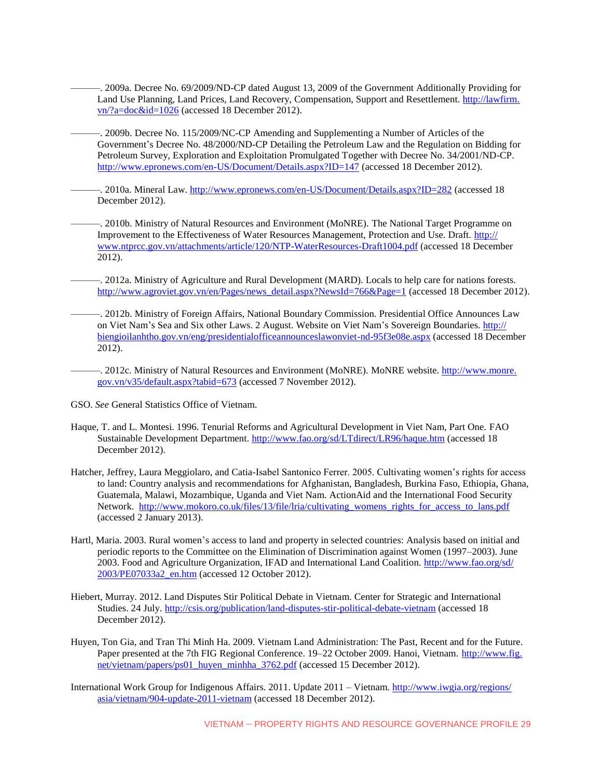- ———. 2009a. Decree No. 69/2009/ND-CP dated August 13, 2009 of the Government Additionally Providing for Land Use Planning, Land Prices, Land Recovery, Compensation, Support and Resettlement[. http://lawfirm.](http://lawfirm.vn/?a=doc&id=1026) [vn/?a=doc&id=1026](http://lawfirm.vn/?a=doc&id=1026) (accessed 18 December 2012).
- ———. 2009b. Decree No. 115/2009/NC-CP Amending and Supplementing a Number of Articles of the Government's Decree No. 48/2000/ND-CP Detailing the Petroleum Law and the Regulation on Bidding for Petroleum Survey, Exploration and Exploitation Promulgated Together with Decree No. 34/2001/ND-CP. <http://www.epronews.com/en-US/Document/Details.aspx?ID=147> (accessed 18 December 2012).
- ———. 2010a. Mineral Law.<http://www.epronews.com/en-US/Document/Details.aspx?ID=282> (accessed 18 December 2012).
- ———. 2010b. Ministry of Natural Resources and Environment (MoNRE). The National Target Programme on Improvement to the Effectiveness of Water Resources Management, Protection and Use. Draft. [http://](http://www.ntprcc.gov.vn/attachments/article/120/NTP-WaterResources-Draft1004.pdf) [www.ntprcc.gov.vn/attachments/article/120/NTP-WaterResources-Draft1004.pdf](http://www.ntprcc.gov.vn/attachments/article/120/NTP-WaterResources-Draft1004.pdf) (accessed 18 December 2012).
- ———. 2012a. Ministry of Agriculture and Rural Development (MARD). Locals to help care for nations forests. [http://www.agroviet.gov.vn/en/Pages/news\\_detail.aspx?NewsId=766&Page=1](http://www.agroviet.gov.vn/en/Pages/news_detail.aspx?NewsId=766&Page=1) (accessed 18 December 2012).
- ———. 2012b. Ministry of Foreign Affairs, National Boundary Commission. Presidential Office Announces Law on Viet Nam's Sea and Six other Laws. 2 August. Website on Viet Nam's Sovereign Boundaries. [http://](http://biengioilanhtho.gov.vn/eng/presidentialofficeannounceslawonviet-nd-95f3e08e.aspx) [biengioilanhtho.gov.vn/eng/presidentialofficeannounceslawonviet-nd-95f3e08e.aspx](http://biengioilanhtho.gov.vn/eng/presidentialofficeannounceslawonviet-nd-95f3e08e.aspx) (accessed 18 December 2012).
	- ———. 2012c. Ministry of Natural Resources and Environment (MoNRE). MoNRE website. [http://www.monre.](http://www.monre.gov.vn/v35/default.aspx?tabid=673) [gov.vn/v35/default.aspx?tabid=673](http://www.monre.gov.vn/v35/default.aspx?tabid=673) (accessed 7 November 2012).
- GSO. *See* General Statistics Office of Vietnam.
- Haque, T. and L. Montesi. 1996. Tenurial Reforms and Agricultural Development in Viet Nam, Part One. FAO Sustainable Development Department.<http://www.fao.org/sd/LTdirect/LR96/haque.htm> (accessed 18 December 2012).
- Hatcher, Jeffrey, Laura Meggiolaro, and Catia-Isabel Santonico Ferrer. 2005. Cultivating women's rights for access to land: Country analysis and recommendations for Afghanistan, Bangladesh, Burkina Faso, Ethiopia, Ghana, Guatemala, Malawi, Mozambique, Uganda and Viet Nam. ActionAid and the International Food Security Network. [http://www.mokoro.co.uk/files/13/file/lria/cultivating\\_womens\\_rights\\_for\\_access\\_to\\_lans.pdf](http://www.mokoro.co.uk/files/13/file/lria/cultivating_womens_rights_for_access_to_lans.pdf) (accessed 2 January 2013).
- Hartl, Maria. 2003. Rural women's access to land and property in selected countries: Analysis based on initial and periodic reports to the Committee on the Elimination of Discrimination against Women (1997–2003). June 2003. Food and Agriculture Organization, IFAD and International Land Coalition. [http://www.fao.org/sd/](http://www.fao.org/sd/2003/PE07033a2_en.htm) [2003/PE07033a2\\_en.htm](http://www.fao.org/sd/2003/PE07033a2_en.htm) (accessed 12 October 2012).
- Hiebert, Murray. 2012. Land Disputes Stir Political Debate in Vietnam. Center for Strategic and International Studies. 24 July.<http://csis.org/publication/land-disputes-stir-political-debate-vietnam> (accessed 18 December 2012).
- Huyen, Ton Gia, and Tran Thi Minh Ha. 2009. Vietnam Land Administration: The Past, Recent and for the Future. Paper presented at the 7th FIG Regional Conference. 19–22 October 2009. Hanoi, Vietnam. [http://www.fig.](http://www.fig.net/vietnam/papers/ps01_huyen_minhha_3762.pdf) [net/vietnam/papers/ps01\\_huyen\\_minhha\\_3762.pdf](http://www.fig.net/vietnam/papers/ps01_huyen_minhha_3762.pdf) (accessed 15 December 2012).
- International Work Group for Indigenous Affairs. 2011. Update 2011 Vietnam. [http://www.iwgia.org/regions/](http://www.iwgia.org/regions/asia/vietnam/904-update-2011-vietnam) [asia/vietnam/904-update-2011-vietnam](http://www.iwgia.org/regions/asia/vietnam/904-update-2011-vietnam) (accessed 18 December 2012).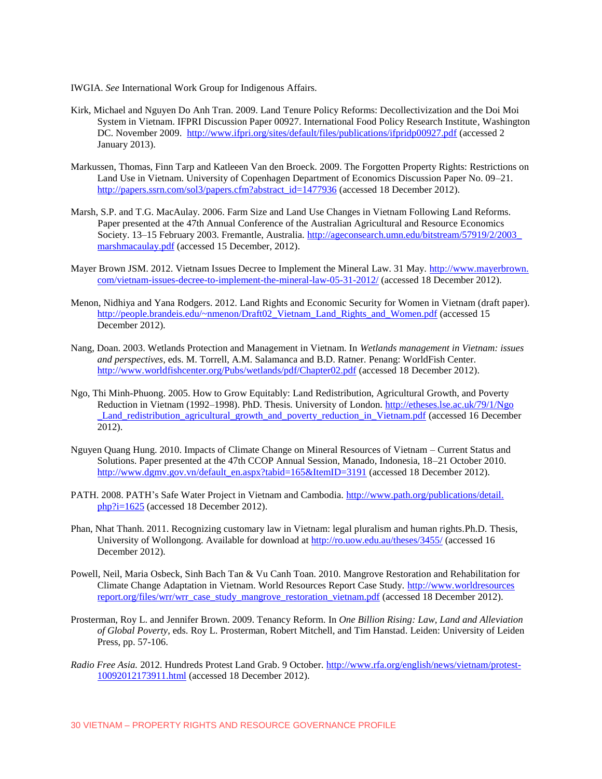IWGIA. *See* International Work Group for Indigenous Affairs.

- Kirk, Michael and Nguyen Do Anh Tran. 2009. Land Tenure Policy Reforms: Decollectivization and the Doi Moi System in Vietnam. IFPRI Discussion Paper 00927. International Food Policy Research Institute, Washington DC. November 2009. <http://www.ifpri.org/sites/default/files/publications/ifpridp00927.pdf> (accessed 2 January 2013).
- Markussen, Thomas, Finn Tarp and Katleeen Van den Broeck. 2009. The Forgotten Property Rights: Restrictions on Land Use in Vietnam. University of Copenhagen Department of Economics Discussion Paper No. 09–21. [http://papers.ssrn.com/sol3/papers.cfm?abstract\\_id=1477936](http://papers.ssrn.com/sol3/papers.cfm?abstract_id=1477936) (accessed 18 December 2012).
- Marsh, S.P. and T.G. MacAulay. 2006. Farm Size and Land Use Changes in Vietnam Following Land Reforms. Paper presented at the 47th Annual Conference of the Australian Agricultural and Resource Economics Society. 13–15 February 2003. Fremantle, Australia. [http://ageconsearch.umn.edu/bitstream/57919/2/2003\\_](http://ageconsearch.umn.edu/bitstream/57919/2/2003_marshmacaulay.pdf) [marshmacaulay.pdf](http://ageconsearch.umn.edu/bitstream/57919/2/2003_marshmacaulay.pdf) (accessed 15 December, 2012).
- Mayer Brown JSM. 2012. Vietnam Issues Decree to Implement the Mineral Law. 31 May. [http://www.mayerbrown.](http://www.mayerbrown.com/vietnam-issues-decree-to-implement-the-mineral-law-05-31-2012/) [com/vietnam-issues-decree-to-implement-the-mineral-law-05-31-2012/](http://www.mayerbrown.com/vietnam-issues-decree-to-implement-the-mineral-law-05-31-2012/) (accessed 18 December 2012).
- Menon, Nidhiya and Yana Rodgers. 2012. Land Rights and Economic Security for Women in Vietnam (draft paper). [http://people.brandeis.edu/~nmenon/Draft02\\_Vietnam\\_Land\\_Rights\\_and\\_Women.pdf](http://people.brandeis.edu/~nmenon/Draft02_Vietnam_Land_Rights_and_Women.pdf) (accessed 15 December 2012).
- Nang, Doan. 2003. Wetlands Protection and Management in Vietnam. In *Wetlands management in Vietnam: issues and perspectives*, eds. M. Torrell, A.M. Salamanca and B.D. Ratner*.* Penang: WorldFish Center. <http://www.worldfishcenter.org/Pubs/wetlands/pdf/Chapter02.pdf> (accessed 18 December 2012).
- Ngo, Thi Minh-Phuong. 2005. How to Grow Equitably: Land Redistribution, Agricultural Growth, and Poverty Reduction in Vietnam (1992–1998). PhD. Thesis. University of London. [http://etheses.lse.ac.uk/79/1/Ngo](http://etheses.lse.ac.uk/79/1/Ngo_Land_redistribution_agricultural_growth_and_poverty_reduction_in_Vietnam.pdf) Land redistribution agricultural growth and poverty reduction in Vietnam.pdf (accessed 16 December 2012).
- Nguyen Quang Hung. 2010. Impacts of Climate Change on Mineral Resources of Vietnam Current Status and Solutions. Paper presented at the 47th CCOP Annual Session, Manado, Indonesia, 18–21 October 2010. [http://www.dgmv.gov.vn/default\\_en.aspx?tabid=165&ItemID=3191](http://www.dgmv.gov.vn/default_en.aspx?tabid=165&ItemID=3191) (accessed 18 December 2012).
- PATH. 2008. PATH's Safe Water Project in Vietnam and Cambodia. [http://www.path.org/publications/detail.](http://www.path.org/publications/detail.php?i=1625) [php?i=1625](http://www.path.org/publications/detail.php?i=1625) (accessed 18 December 2012).
- Phan, Nhat Thanh. 2011. Recognizing customary law in Vietnam: legal pluralism and human rights.Ph.D. Thesis, University of Wollongong. Available for download a[t http://ro.uow.edu.au/theses/3455/](http://ro.uow.edu.au/theses/3455/) (accessed 16 December 2012).
- Powell, Neil, Maria Osbeck, Sinh Bach Tan & Vu Canh Toan. 2010. Mangrove Restoration and Rehabilitation for Climate Change Adaptation in Vietnam. World Resources Report Case Study. [http://www.worldresources](http://www.worldresourcesreport.org/files/wrr/wrr_case_study_mangrove_restoration_vietnam.pdf) [report.org/files/wrr/wrr\\_case\\_study\\_mangrove\\_restoration\\_vietnam.pdf](http://www.worldresourcesreport.org/files/wrr/wrr_case_study_mangrove_restoration_vietnam.pdf) (accessed 18 December 2012).
- Prosterman, Roy L. and Jennifer Brown. 2009. Tenancy Reform*.* In *One Billion Rising: Law, Land and Alleviation of Global Poverty*, eds. Roy L. Prosterman, Robert Mitchell, and Tim Hanstad. Leiden: University of Leiden Press, pp. 57-106.
- *Radio Free Asia.* 2012. Hundreds Protest Land Grab. 9 October. [http://www.rfa.org/english/news/vietnam/protest-](http://www.rfa.org/english/news/vietnam/protest-10092012173911.html)[10092012173911.html](http://www.rfa.org/english/news/vietnam/protest-10092012173911.html) (accessed 18 December 2012).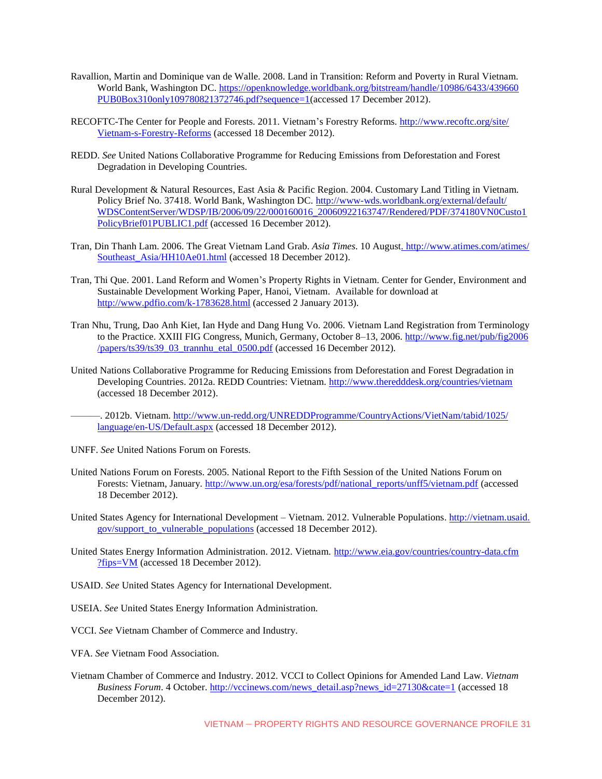- Ravallion, Martin and Dominique van de Walle. 2008. Land in Transition: Reform and Poverty in Rural Vietnam. World Bank, Washington DC. [https://openknowledge.worldbank.org/bitstream/handle/10986/6433/439660](https://openknowledge.worldbank.org/bitstream/handle/10986/6433/439660PUB0Box310only109780821372746.pdf?sequence=1) [PUB0Box310only109780821372746.pdf?sequence=1\(](https://openknowledge.worldbank.org/bitstream/handle/10986/6433/439660PUB0Box310only109780821372746.pdf?sequence=1)accessed 17 December 2012).
- RECOFTC-The Center for People and Forests. 2011. Vietnam's Forestry Reforms. [http://www.recoftc.org/site/](http://www.recoftc.org/site/Vietnam-s-Forestry-Reforms) [Vietnam-s-Forestry-Reforms](http://www.recoftc.org/site/Vietnam-s-Forestry-Reforms) (accessed 18 December 2012).
- REDD. *See* United Nations Collaborative Programme for Reducing Emissions from Deforestation and Forest Degradation in Developing Countries.
- Rural Development & Natural Resources, East Asia & Pacific Region. 2004. Customary Land Titling in Vietnam. Policy Brief No. 37418. World Bank, Washington DC. [http://www-wds.worldbank.org/external/default/](http://www-wds.worldbank.org/external/default/WDSContentServer/WDSP/IB/2006/09/22/000160016_20060922163747/Rendered/PDF/374180VN0Custo1PolicyBrief01PUBLIC1.pdf) [WDSContentServer/WDSP/IB/2006/09/22/000160016\\_20060922163747/Rendered/PDF/374180VN0Custo1](http://www-wds.worldbank.org/external/default/WDSContentServer/WDSP/IB/2006/09/22/000160016_20060922163747/Rendered/PDF/374180VN0Custo1PolicyBrief01PUBLIC1.pdf) [PolicyBrief01PUBLIC1.pdf](http://www-wds.worldbank.org/external/default/WDSContentServer/WDSP/IB/2006/09/22/000160016_20060922163747/Rendered/PDF/374180VN0Custo1PolicyBrief01PUBLIC1.pdf) (accessed 16 December 2012).
- Tran, Din Thanh Lam. 2006. The Great Vietnam Land Grab. *Asia Times*. 10 August. [http://www.atimes.com/atimes/](http://www.atimes.com/atimes/Southeast_Asia/HH10Ae01.html) Southeast Asia/HH10Ae01.html (accessed 18 December 2012).
- Tran, Thi Que. 2001. Land Reform and Women's Property Rights in Vietnam. Center for Gender, Environment and Sustainable Development Working Paper, Hanoi, Vietnam. Available for download at <http://www.pdfio.com/k-1783628.html> (accessed 2 January 2013).
- Tran Nhu, Trung, Dao Anh Kiet, Ian Hyde and Dang Hung Vo. 2006. Vietnam Land Registration from Terminology to the Practice. XXIII FIG Congress, Munich, Germany, October 8–13, 2006. [http://www.fig.net/pub/fig2006](http://www.fig.net/pub/fig2006/papers/ts39/ts39_03_trannhu_etal_0500.pdf) [/papers/ts39/ts39\\_03\\_trannhu\\_etal\\_0500.pdf](http://www.fig.net/pub/fig2006/papers/ts39/ts39_03_trannhu_etal_0500.pdf) (accessed 16 December 2012).
- United Nations Collaborative Programme for Reducing Emissions from Deforestation and Forest Degradation in Developing Countries. 2012a. REDD Countries: Vietnam.<http://www.theredddesk.org/countries/vietnam> (accessed 18 December 2012).
	- ———. 2012b. Vietnam. [http://www.un-redd.org/UNREDDProgramme/CountryActions/VietNam/tabid/1025/](http://www.un-redd.org/UNREDDProgramme/CountryActions/VietNam/tabid/1025/language/en-US/Default.aspx) [language/en-US/Default.aspx](http://www.un-redd.org/UNREDDProgramme/CountryActions/VietNam/tabid/1025/language/en-US/Default.aspx) (accessed 18 December 2012).
- UNFF. *See* United Nations Forum on Forests.
- United Nations Forum on Forests. 2005. National Report to the Fifth Session of the United Nations Forum on Forests: Vietnam, January. [http://www.un.org/esa/forests/pdf/national\\_reports/unff5/vietnam.pdf](http://www.un.org/esa/forests/pdf/national_reports/unff5/vietnam.pdf) (accessed 18 December 2012).
- United States Agency for International Development Vietnam. 2012. Vulnerable Populations. [http://vietnam.usaid.](http://vietnam.usaid.gov/support_to_vulnerable_populations) [gov/support\\_to\\_vulnerable\\_populations](http://vietnam.usaid.gov/support_to_vulnerable_populations) (accessed 18 December 2012).
- United States Energy Information Administration. 2012. Vietnam. [http://www.eia.gov/countries/country-data.cfm](http://www.eia.gov/countries/country-data.cfm?fips=VM) [?fips=VM](http://www.eia.gov/countries/country-data.cfm?fips=VM) (accessed 18 December 2012).
- USAID. *See* United States Agency for International Development.
- USEIA. *See* United States Energy Information Administration.
- VCCI. *See* Vietnam Chamber of Commerce and Industry.
- VFA. *See* Vietnam Food Association.
- Vietnam Chamber of Commerce and Industry. 2012. VCCI to Collect Opinions for Amended Land Law. *Vietnam Business Forum*. 4 October[. http://vccinews.com/news\\_detail.asp?news\\_id=27130&cate=1](http://vccinews.com/news_detail.asp?news_id=27130&cate=1) (accessed 18 December 2012).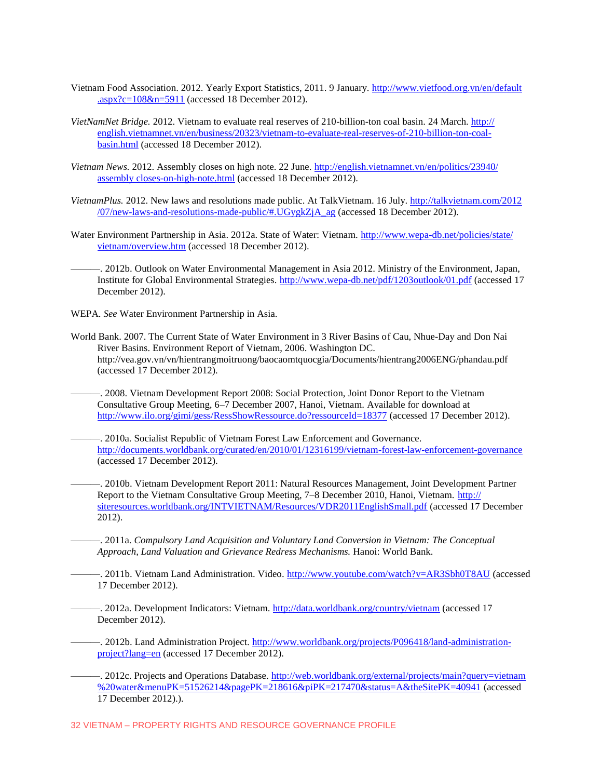- Vietnam Food Association. 2012. Yearly Export Statistics, 2011. 9 January. [http://www.vietfood.org.vn/en/default](http://www.vietfood.org.vn/en/default.aspx?c=108&n=5911) [.aspx?c=108&n=5911](http://www.vietfood.org.vn/en/default.aspx?c=108&n=5911) (accessed 18 December 2012).
- *VietNamNet Bridge.* 2012. Vietnam to evaluate real reserves of 210-billion-ton coal basin. 24 March. [http://](http://english.vietnamnet.vn/en/business/20323/vietnam-to-evaluate-real-reserves-of-210-billion-ton-coal-basin.html) [english.vietnamnet.vn/en/business/20323/vietnam-to-evaluate-real-reserves-of-210-billion-ton-coal](http://english.vietnamnet.vn/en/business/20323/vietnam-to-evaluate-real-reserves-of-210-billion-ton-coal-basin.html)[basin.html](http://english.vietnamnet.vn/en/business/20323/vietnam-to-evaluate-real-reserves-of-210-billion-ton-coal-basin.html) (accessed 18 December 2012).
- *Vietnam News.* 2012. Assembly closes on high note. 22 June. [http://english.vietnamnet.vn/en/politics/23940/](http://english.vietnamnet.vn/en/politics/23940/assembly-closes-on-high-note.html) [assembly closes-on-high-note.html](http://english.vietnamnet.vn/en/politics/23940/assembly-closes-on-high-note.html) (accessed 18 December 2012).
- *VietnamPlus.* 2012. New laws and resolutions made public. At TalkVietnam. 16 July. [http://talkvietnam.com/2012](http://talkvietnam.com/2012/07/new-laws-and-resolutions-made-public/#.UGygkZjA_ag) [/07/new-laws-and-resolutions-made-public/#.UGygkZjA\\_ag](http://talkvietnam.com/2012/07/new-laws-and-resolutions-made-public/#.UGygkZjA_ag) (accessed 18 December 2012).
- Water Environment Partnership in Asia. 2012a. State of Water: Vietnam. [http://www.wepa-db.net/policies/state/](http://www.wepa-db.net/policies/state/vietnam/overview.htm) [vietnam/overview.htm](http://www.wepa-db.net/policies/state/vietnam/overview.htm) (accessed 18 December 2012).
	- ———. 2012b. Outlook on Water Environmental Management in Asia 2012. Ministry of the Environment, Japan, Institute for Global Environmental Strategies.<http://www.wepa-db.net/pdf/1203outlook/01.pdf> (accessed 17 December 2012).
- WEPA. *See* Water Environment Partnership in Asia.
- World Bank. 2007. The Current State of Water Environment in 3 River Basins of Cau, Nhue-Day and Don Nai River Basins. Environment Report of Vietnam, 2006. Washington DC. http://vea.gov.vn/vn/hientrangmoitruong/baocaomtquocgia/Documents/hientrang2006ENG/phandau.pdf (accessed 17 December 2012).
	- ———. 2008. Vietnam Development Report 2008: Social Protection, Joint Donor Report to the Vietnam Consultative Group Meeting, 6–7 December 2007, Hanoi, Vietnam. Available for download at <http://www.ilo.org/gimi/gess/RessShowRessource.do?ressourceId=18377> (accessed 17 December 2012).
- ———. 2010a. Socialist Republic of Vietnam Forest Law Enforcement and Governance. <http://documents.worldbank.org/curated/en/2010/01/12316199/vietnam-forest-law-enforcement-governance> (accessed 17 December 2012).
	- ———. 2010b. Vietnam Development Report 2011: Natural Resources Management, Joint Development Partner Report to the Vietnam Consultative Group Meeting, 7–8 December 2010, Hanoi, Vietnam. [http://](http://siteresources.worldbank.org/INTVIETNAM/Resources/VDR2011EnglishSmall.pdf) [siteresources.worldbank.org/INTVIETNAM/Resources/VDR2011EnglishSmall.pdf](http://siteresources.worldbank.org/INTVIETNAM/Resources/VDR2011EnglishSmall.pdf) (accessed 17 December 2012).
	- ———. 2011a. *Compulsory Land Acquisition and Voluntary Land Conversion in Vietnam: The Conceptual Approach, Land Valuation and Grievance Redress Mechanisms.* Hanoi: World Bank.
	- ———. 2011b. Vietnam Land Administration. Video.<http://www.youtube.com/watch?v=AR3Sbh0T8AU> (accessed 17 December 2012).
		- ———. 2012a. Development Indicators: Vietnam.<http://data.worldbank.org/country/vietnam> (accessed 17 December 2012).
	- -. 2012b. Land Administration Project. [http://www.worldbank.org/projects/P096418/land-administration](http://www.worldbank.org/projects/P096418/land-administration-project?lang=en)[project?lang=en](http://www.worldbank.org/projects/P096418/land-administration-project?lang=en) (accessed 17 December 2012).
	- —. 2012c. Projects and Operations Database. [http://web.worldbank.org/external/projects/main?query=vietnam](http://web.worldbank.org/external/projects/main?query=vietnam%20water&menuPK=51526214&pagePK=218616&piPK=217470&status=A&theSitePK=40941) [%20water&menuPK=51526214&pagePK=218616&piPK=217470&status=A&theSitePK=40941](http://web.worldbank.org/external/projects/main?query=vietnam%20water&menuPK=51526214&pagePK=218616&piPK=217470&status=A&theSitePK=40941) (accessed 17 December 2012).).